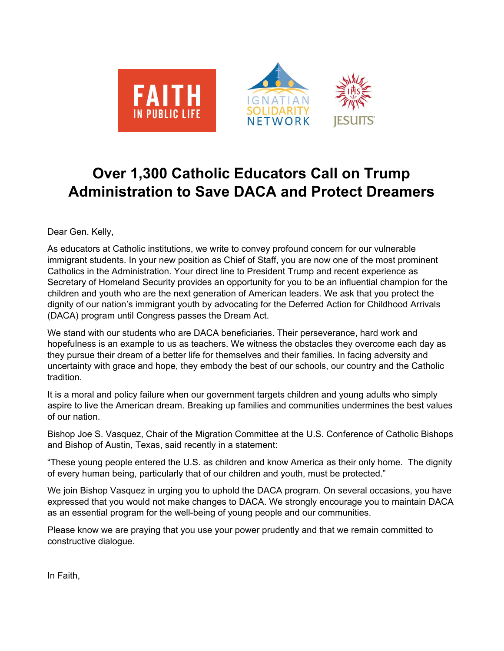

## **Over 1,300 Catholic Educators Call on Trump Administration to Save DACA and Protect Dreamers**

Dear Gen. Kelly,

As educators at Catholic institutions, we write to convey profound concern for our vulnerable immigrant students. In your new position as Chief of Staff, you are now one of the most prominent Catholics in the Administration. Your direct line to President Trump and recent experience as Secretary of Homeland Security provides an opportunity for you to be an influential champion for the children and youth who are the next generation of American leaders. We ask that you protect the dignity of our nation's immigrant youth by advocating for the Deferred Action for Childhood Arrivals (DACA) program until Congress passes the Dream Act.

We stand with our students who are DACA beneficiaries. Their perseverance, hard work and hopefulness is an example to us as teachers. We witness the obstacles they overcome each day as they pursue their dream of a better life for themselves and their families. In facing adversity and uncertainty with grace and hope, they embody the best of our schools, our country and the Catholic tradition.

It is a moral and policy failure when our government targets children and young adults who simply aspire to live the American dream. Breaking up families and communities undermines the best values of our nation.

Bishop Joe S. Vasquez, Chair of the Migration Committee at the U.S. Conference of Catholic Bishops and Bishop of Austin, Texas, said recently in a statement:

"These young people entered the U.S. as children and know America as their only home. The dignity of every human being, particularly that of our children and youth, must be protected."

We join Bishop Vasquez in urging you to uphold the DACA program. On several occasions, you have expressed that you would not make changes to DACA. We strongly encourage you to maintain DACA as an essential program for the well-being of young people and our communities.

Please know we are praying that you use your power prudently and that we remain committed to constructive dialogue.

In Faith,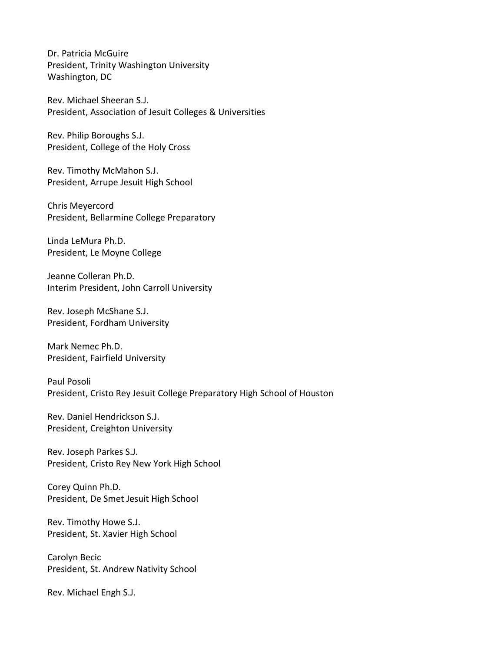Dr. Patricia McGuire President, Trinity Washington University Washington, DC

Rev. Michael Sheeran S.J. President, Association of Jesuit Colleges & Universities

Rev. Philip Boroughs S.J. President, College of the Holy Cross

Rev. Timothy McMahon S.J. President, Arrupe Jesuit High School

Chris Meyercord President, Bellarmine College Preparatory

Linda LeMura Ph.D. President, Le Moyne College

Jeanne Colleran Ph.D. Interim President, John Carroll University

Rev. Joseph McShane S.J. President, Fordham University

Mark Nemec Ph.D. President, Fairfield University

Paul Posoli President, Cristo Rey Jesuit College Preparatory High School of Houston

Rev. Daniel Hendrickson S.J. President, Creighton University

Rev. Joseph Parkes S.J. President, Cristo Rey New York High School

Corey Quinn Ph.D. President, De Smet Jesuit High School

Rev. Timothy Howe S.J. President, St. Xavier High School

Carolyn Becic President, St. Andrew Nativity School

Rev. Michael Engh S.J.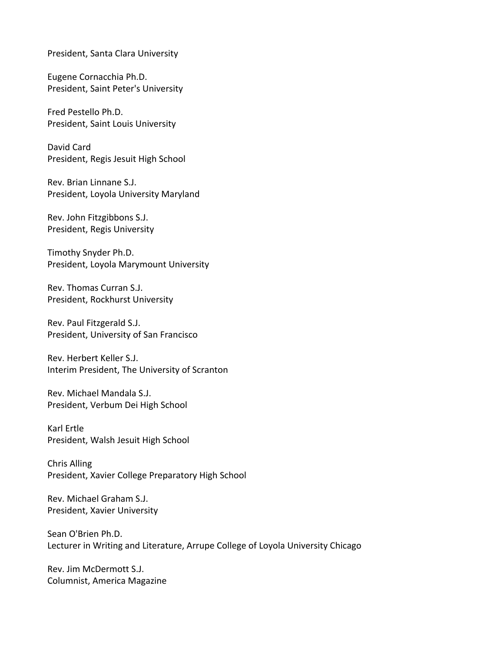President, Santa Clara University

Eugene Cornacchia Ph.D. President, Saint Peter's University

Fred Pestello Ph.D. President, Saint Louis University

David Card President, Regis Jesuit High School

Rev. Brian Linnane S.J. President, Loyola University Maryland

Rev. John Fitzgibbons S.J. President, Regis University

Timothy Snyder Ph.D. President, Loyola Marymount University

Rev. Thomas Curran S.J. President, Rockhurst University

Rev. Paul Fitzgerald S.J. President, University of San Francisco

Rev. Herbert Keller S.J. Interim President, The University of Scranton

Rev. Michael Mandala S.J. President, Verbum Dei High School

Karl Ertle President, Walsh Jesuit High School

Chris Alling President, Xavier College Preparatory High School

Rev. Michael Graham S.J. President, Xavier University

Sean O'Brien Ph.D. Lecturer in Writing and Literature, Arrupe College of Loyola University Chicago

Rev. Jim McDermott S.J. Columnist, America Magazine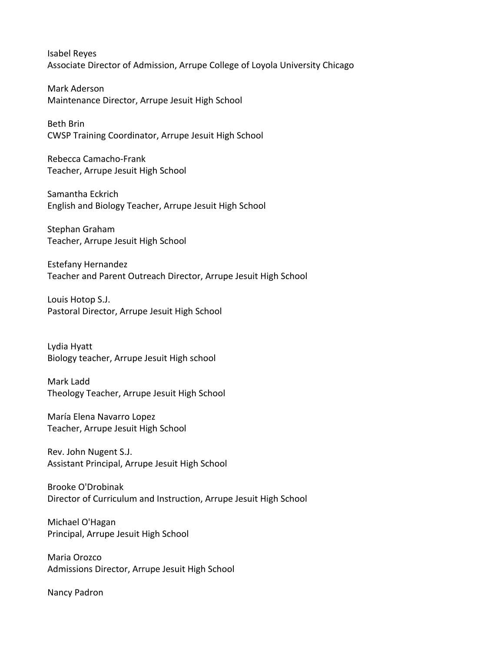Isabel Reyes Associate Director of Admission, Arrupe College of Loyola University Chicago

Mark Aderson Maintenance Director, Arrupe Jesuit High School

Beth Brin CWSP Training Coordinator, Arrupe Jesuit High School

Rebecca Camacho-Frank Teacher, Arrupe Jesuit High School

Samantha Eckrich English and Biology Teacher, Arrupe Jesuit High School

Stephan Graham Teacher, Arrupe Jesuit High School

Estefany Hernandez Teacher and Parent Outreach Director, Arrupe Jesuit High School

Louis Hotop S.J. Pastoral Director, Arrupe Jesuit High School

Lydia Hyatt Biology teacher, Arrupe Jesuit High school

Mark Ladd Theology Teacher, Arrupe Jesuit High School

María Elena Navarro Lopez Teacher, Arrupe Jesuit High School

Rev. John Nugent S.J. Assistant Principal, Arrupe Jesuit High School

Brooke O'Drobinak Director of Curriculum and Instruction, Arrupe Jesuit High School

Michael O'Hagan Principal, Arrupe Jesuit High School

Maria Orozco Admissions Director, Arrupe Jesuit High School

Nancy Padron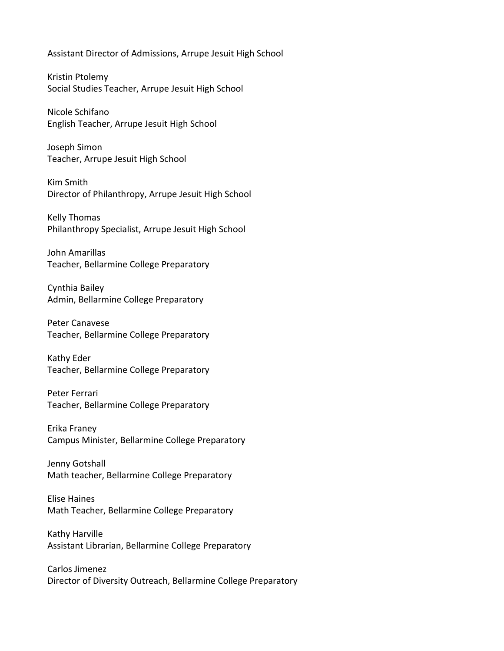Assistant Director of Admissions, Arrupe Jesuit High School

Kristin Ptolemy Social Studies Teacher, Arrupe Jesuit High School

Nicole Schifano English Teacher, Arrupe Jesuit High School

Joseph Simon Teacher, Arrupe Jesuit High School

Kim Smith Director of Philanthropy, Arrupe Jesuit High School

Kelly Thomas Philanthropy Specialist, Arrupe Jesuit High School

John Amarillas Teacher, Bellarmine College Preparatory

Cynthia Bailey Admin, Bellarmine College Preparatory

Peter Canavese Teacher, Bellarmine College Preparatory

Kathy Eder Teacher, Bellarmine College Preparatory

Peter Ferrari Teacher, Bellarmine College Preparatory

Erika Franey Campus Minister, Bellarmine College Preparatory

Jenny Gotshall Math teacher, Bellarmine College Preparatory

Elise Haines Math Teacher, Bellarmine College Preparatory

Kathy Harville Assistant Librarian, Bellarmine College Preparatory

Carlos Jimenez Director of Diversity Outreach, Bellarmine College Preparatory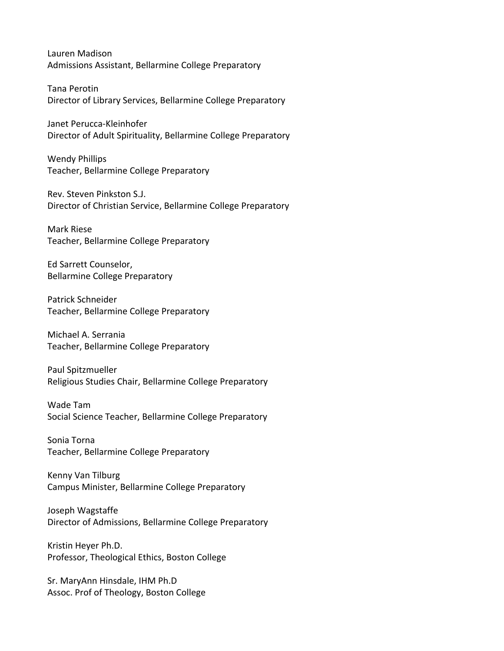Lauren Madison Admissions Assistant, Bellarmine College Preparatory

Tana Perotin Director of Library Services, Bellarmine College Preparatory

Janet Perucca-Kleinhofer Director of Adult Spirituality, Bellarmine College Preparatory

Wendy Phillips Teacher, Bellarmine College Preparatory

Rev. Steven Pinkston S.J. Director of Christian Service, Bellarmine College Preparatory

Mark Riese Teacher, Bellarmine College Preparatory

Ed Sarrett Counselor, Bellarmine College Preparatory

Patrick Schneider Teacher, Bellarmine College Preparatory

Michael A. Serrania Teacher, Bellarmine College Preparatory

Paul Spitzmueller Religious Studies Chair, Bellarmine College Preparatory

Wade Tam Social Science Teacher, Bellarmine College Preparatory

Sonia Torna Teacher, Bellarmine College Preparatory

Kenny Van Tilburg Campus Minister, Bellarmine College Preparatory

Joseph Wagstaffe Director of Admissions, Bellarmine College Preparatory

Kristin Heyer Ph.D. Professor, Theological Ethics, Boston College

Sr. MaryAnn Hinsdale, IHM Ph.D Assoc. Prof of Theology, Boston College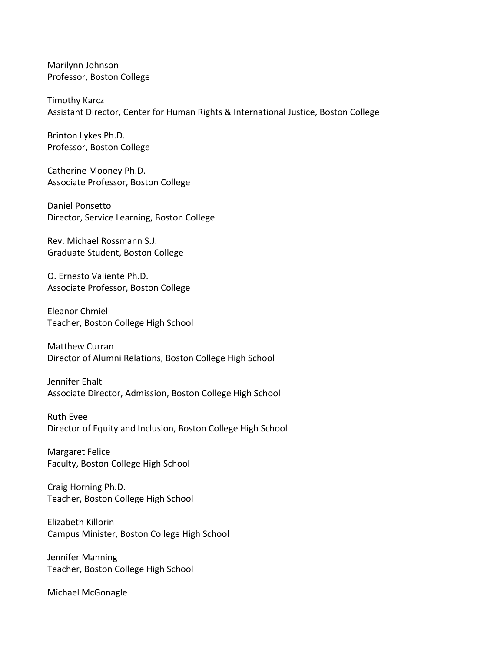Marilynn Johnson Professor, Boston College

Timothy Karcz Assistant Director, Center for Human Rights & International Justice, Boston College

Brinton Lykes Ph.D. Professor, Boston College

Catherine Mooney Ph.D. Associate Professor, Boston College

Daniel Ponsetto Director, Service Learning, Boston College

Rev. Michael Rossmann S.J. Graduate Student, Boston College

O. Ernesto Valiente Ph.D. Associate Professor, Boston College

Eleanor Chmiel Teacher, Boston College High School

Matthew Curran Director of Alumni Relations, Boston College High School

Jennifer Ehalt Associate Director, Admission, Boston College High School

Ruth Evee Director of Equity and Inclusion, Boston College High School

Margaret Felice Faculty, Boston College High School

Craig Horning Ph.D. Teacher, Boston College High School

Elizabeth Killorin Campus Minister, Boston College High School

Jennifer Manning Teacher, Boston College High School

Michael McGonagle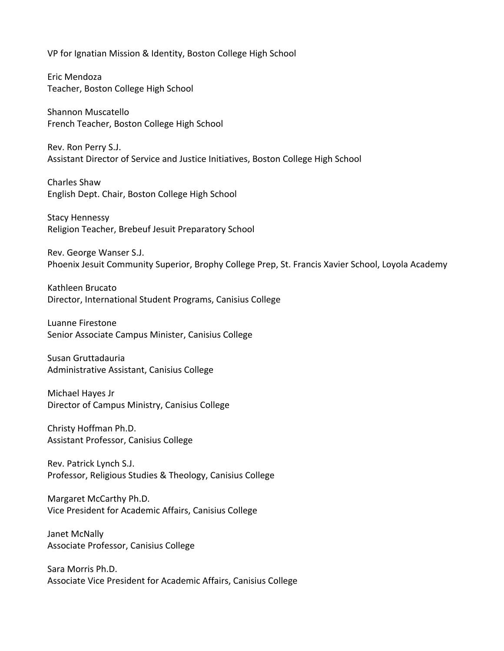VP for Ignatian Mission & Identity, Boston College High School

Eric Mendoza Teacher, Boston College High School

Shannon Muscatello French Teacher, Boston College High School

Rev. Ron Perry S.J. Assistant Director of Service and Justice Initiatives, Boston College High School

Charles Shaw English Dept. Chair, Boston College High School

Stacy Hennessy Religion Teacher, Brebeuf Jesuit Preparatory School

Rev. George Wanser S.J. Phoenix Jesuit Community Superior, Brophy College Prep, St. Francis Xavier School, Loyola Academy

Kathleen Brucato Director, International Student Programs, Canisius College

Luanne Firestone Senior Associate Campus Minister, Canisius College

Susan Gruttadauria Administrative Assistant, Canisius College

Michael Hayes Jr Director of Campus Ministry, Canisius College

Christy Hoffman Ph.D. Assistant Professor, Canisius College

Rev. Patrick Lynch S.J. Professor, Religious Studies & Theology, Canisius College

Margaret McCarthy Ph.D. Vice President for Academic Affairs, Canisius College

Janet McNally Associate Professor, Canisius College

Sara Morris Ph.D. Associate Vice President for Academic Affairs, Canisius College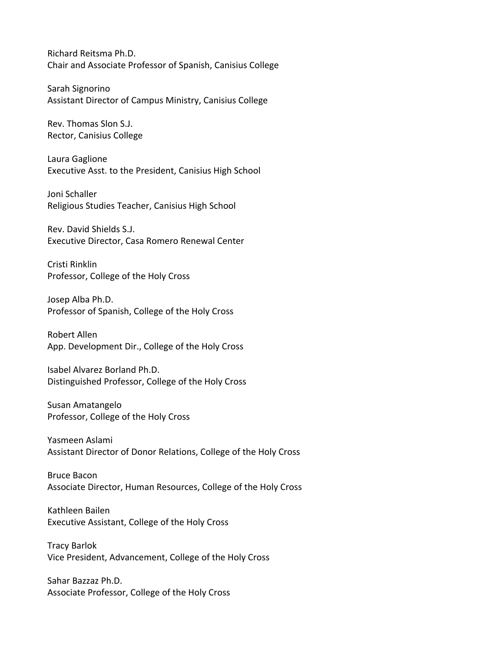Richard Reitsma Ph.D. Chair and Associate Professor of Spanish, Canisius College

Sarah Signorino Assistant Director of Campus Ministry, Canisius College

Rev. Thomas Slon S.J. Rector, Canisius College

Laura Gaglione Executive Asst. to the President, Canisius High School

Joni Schaller Religious Studies Teacher, Canisius High School

Rev. David Shields S.J. Executive Director, Casa Romero Renewal Center

Cristi Rinklin Professor, College of the Holy Cross

Josep Alba Ph.D. Professor of Spanish, College of the Holy Cross

Robert Allen App. Development Dir., College of the Holy Cross

Isabel Alvarez Borland Ph.D. Distinguished Professor, College of the Holy Cross

Susan Amatangelo Professor, College of the Holy Cross

Yasmeen Aslami Assistant Director of Donor Relations, College of the Holy Cross

Bruce Bacon Associate Director, Human Resources, College of the Holy Cross

Kathleen Bailen Executive Assistant, College of the Holy Cross

Tracy Barlok Vice President, Advancement, College of the Holy Cross

Sahar Bazzaz Ph.D. Associate Professor, College of the Holy Cross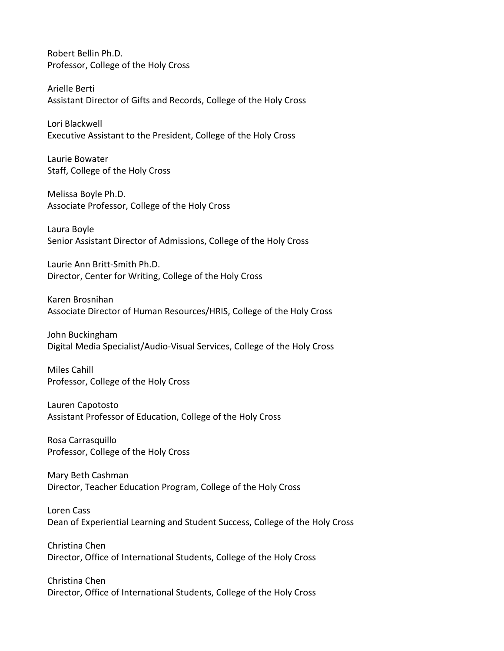Robert Bellin Ph.D. Professor, College of the Holy Cross

Arielle Berti Assistant Director of Gifts and Records, College of the Holy Cross

Lori Blackwell Executive Assistant to the President, College of the Holy Cross

Laurie Bowater Staff, College of the Holy Cross

Melissa Boyle Ph.D. Associate Professor, College of the Holy Cross

Laura Boyle Senior Assistant Director of Admissions, College of the Holy Cross

Laurie Ann Britt-Smith Ph.D. Director, Center for Writing, College of the Holy Cross

Karen Brosnihan Associate Director of Human Resources/HRIS, College of the Holy Cross

John Buckingham Digital Media Specialist/Audio-Visual Services, College of the Holy Cross

Miles Cahill Professor, College of the Holy Cross

Lauren Capotosto Assistant Professor of Education, College of the Holy Cross

Rosa Carrasquillo Professor, College of the Holy Cross

Mary Beth Cashman Director, Teacher Education Program, College of the Holy Cross

Loren Cass Dean of Experiential Learning and Student Success, College of the Holy Cross

Christina Chen Director, Office of International Students, College of the Holy Cross

Christina Chen Director, Office of International Students, College of the Holy Cross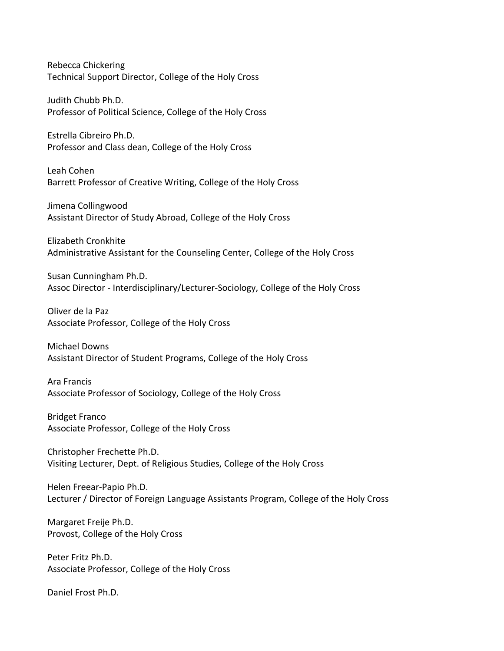Rebecca Chickering Technical Support Director, College of the Holy Cross

Judith Chubb Ph.D. Professor of Political Science, College of the Holy Cross

Estrella Cibreiro Ph.D. Professor and Class dean, College of the Holy Cross

Leah Cohen Barrett Professor of Creative Writing, College of the Holy Cross

Jimena Collingwood Assistant Director of Study Abroad, College of the Holy Cross

Elizabeth Cronkhite Administrative Assistant for the Counseling Center, College of the Holy Cross

Susan Cunningham Ph.D. Assoc Director - Interdisciplinary/Lecturer-Sociology, College of the Holy Cross

Oliver de la Paz Associate Professor, College of the Holy Cross

Michael Downs Assistant Director of Student Programs, College of the Holy Cross

Ara Francis Associate Professor of Sociology, College of the Holy Cross

Bridget Franco Associate Professor, College of the Holy Cross

Christopher Frechette Ph.D. Visiting Lecturer, Dept. of Religious Studies, College of the Holy Cross

Helen Freear-Papio Ph.D. Lecturer / Director of Foreign Language Assistants Program, College of the Holy Cross

Margaret Freije Ph.D. Provost, College of the Holy Cross

Peter Fritz Ph.D. Associate Professor, College of the Holy Cross

Daniel Frost Ph.D.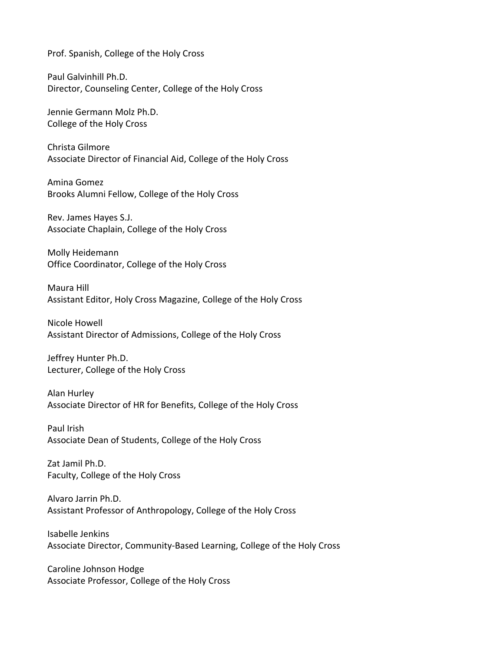Prof. Spanish, College of the Holy Cross

Paul Galvinhill Ph.D. Director, Counseling Center, College of the Holy Cross

Jennie Germann Molz Ph.D. College of the Holy Cross

Christa Gilmore Associate Director of Financial Aid, College of the Holy Cross

Amina Gomez Brooks Alumni Fellow, College of the Holy Cross

Rev. James Hayes S.J. Associate Chaplain, College of the Holy Cross

Molly Heidemann Office Coordinator, College of the Holy Cross

Maura Hill Assistant Editor, Holy Cross Magazine, College of the Holy Cross

Nicole Howell Assistant Director of Admissions, College of the Holy Cross

Jeffrey Hunter Ph.D. Lecturer, College of the Holy Cross

Alan Hurley Associate Director of HR for Benefits, College of the Holy Cross

Paul Irish Associate Dean of Students, College of the Holy Cross

Zat Jamil Ph.D. Faculty, College of the Holy Cross

Alvaro Jarrin Ph.D. Assistant Professor of Anthropology, College of the Holy Cross

Isabelle Jenkins Associate Director, Community-Based Learning, College of the Holy Cross

Caroline Johnson Hodge Associate Professor, College of the Holy Cross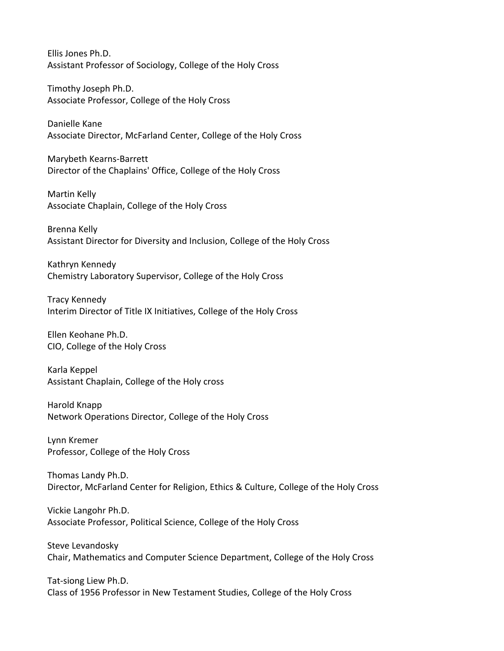Ellis Jones Ph.D. Assistant Professor of Sociology, College of the Holy Cross

Timothy Joseph Ph.D. Associate Professor, College of the Holy Cross

Danielle Kane Associate Director, McFarland Center, College of the Holy Cross

Marybeth Kearns-Barrett Director of the Chaplains' Office, College of the Holy Cross

Martin Kelly Associate Chaplain, College of the Holy Cross

Brenna Kelly Assistant Director for Diversity and Inclusion, College of the Holy Cross

Kathryn Kennedy Chemistry Laboratory Supervisor, College of the Holy Cross

Tracy Kennedy Interim Director of Title IX Initiatives, College of the Holy Cross

Ellen Keohane Ph.D. CIO, College of the Holy Cross

Karla Keppel Assistant Chaplain, College of the Holy cross

Harold Knapp Network Operations Director, College of the Holy Cross

Lynn Kremer Professor, College of the Holy Cross

Thomas Landy Ph.D. Director, McFarland Center for Religion, Ethics & Culture, College of the Holy Cross

Vickie Langohr Ph.D. Associate Professor, Political Science, College of the Holy Cross

Steve Levandosky Chair, Mathematics and Computer Science Department, College of the Holy Cross

Tat-siong Liew Ph.D. Class of 1956 Professor in New Testament Studies, College of the Holy Cross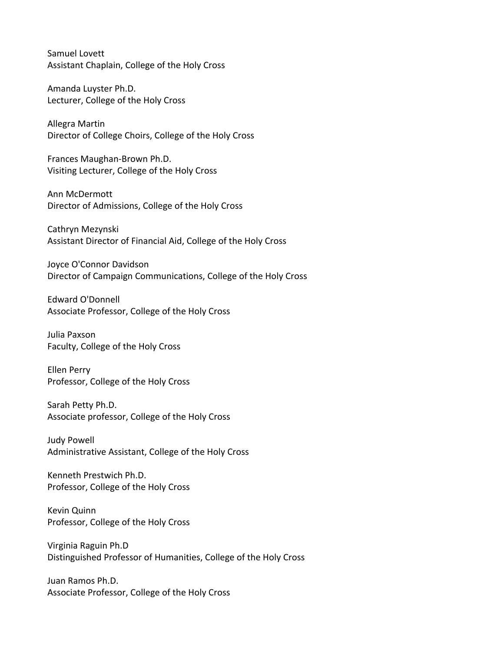Samuel Lovett Assistant Chaplain, College of the Holy Cross

Amanda Luyster Ph.D. Lecturer, College of the Holy Cross

Allegra Martin Director of College Choirs, College of the Holy Cross

Frances Maughan-Brown Ph.D. Visiting Lecturer, College of the Holy Cross

Ann McDermott Director of Admissions, College of the Holy Cross

Cathryn Mezynski Assistant Director of Financial Aid, College of the Holy Cross

Joyce O'Connor Davidson Director of Campaign Communications, College of the Holy Cross

Edward O'Donnell Associate Professor, College of the Holy Cross

Julia Paxson Faculty, College of the Holy Cross

Ellen Perry Professor, College of the Holy Cross

Sarah Petty Ph.D. Associate professor, College of the Holy Cross

Judy Powell Administrative Assistant, College of the Holy Cross

Kenneth Prestwich Ph.D. Professor, College of the Holy Cross

Kevin Quinn Professor, College of the Holy Cross

Virginia Raguin Ph.D Distinguished Professor of Humanities, College of the Holy Cross

Juan Ramos Ph.D. Associate Professor, College of the Holy Cross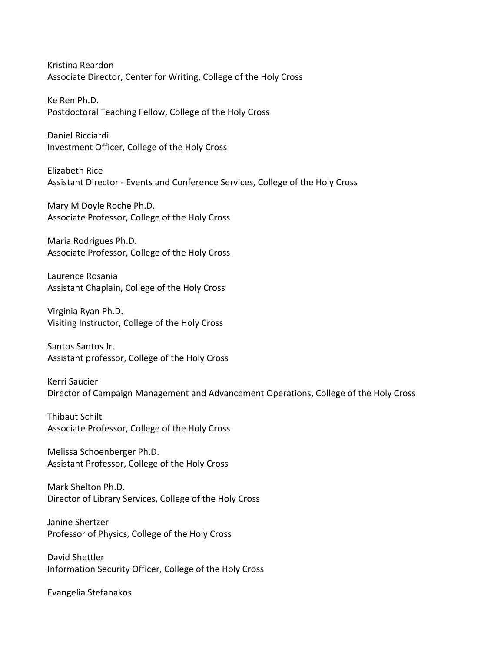Kristina Reardon Associate Director, Center for Writing, College of the Holy Cross

Ke Ren Ph.D. Postdoctoral Teaching Fellow, College of the Holy Cross

Daniel Ricciardi Investment Officer, College of the Holy Cross

Elizabeth Rice Assistant Director - Events and Conference Services, College of the Holy Cross

Mary M Doyle Roche Ph.D. Associate Professor, College of the Holy Cross

Maria Rodrigues Ph.D. Associate Professor, College of the Holy Cross

Laurence Rosania Assistant Chaplain, College of the Holy Cross

Virginia Ryan Ph.D. Visiting Instructor, College of the Holy Cross

Santos Santos Jr. Assistant professor, College of the Holy Cross

Kerri Saucier Director of Campaign Management and Advancement Operations, College of the Holy Cross

Thibaut Schilt Associate Professor, College of the Holy Cross

Melissa Schoenberger Ph.D. Assistant Professor, College of the Holy Cross

Mark Shelton Ph.D. Director of Library Services, College of the Holy Cross

Janine Shertzer Professor of Physics, College of the Holy Cross

David Shettler Information Security Officer, College of the Holy Cross

Evangelia Stefanakos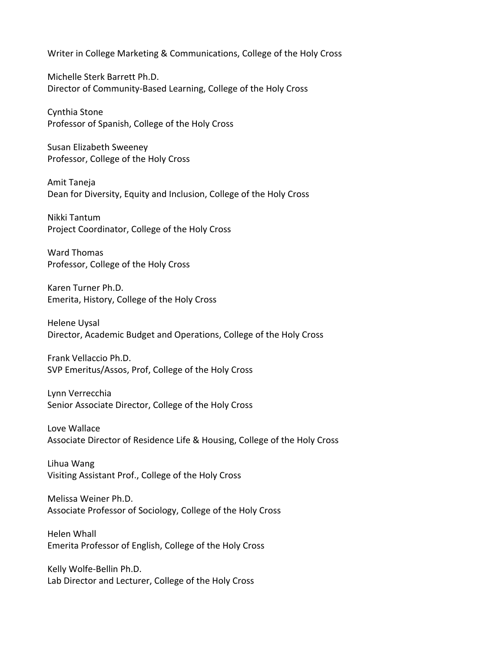Writer in College Marketing & Communications, College of the Holy Cross

Michelle Sterk Barrett Ph.D. Director of Community-Based Learning, College of the Holy Cross

Cynthia Stone Professor of Spanish, College of the Holy Cross

Susan Elizabeth Sweeney Professor, College of the Holy Cross

Amit Taneja Dean for Diversity, Equity and Inclusion, College of the Holy Cross

Nikki Tantum Project Coordinator, College of the Holy Cross

Ward Thomas Professor, College of the Holy Cross

Karen Turner Ph.D. Emerita, History, College of the Holy Cross

Helene Uysal Director, Academic Budget and Operations, College of the Holy Cross

Frank Vellaccio Ph.D. SVP Emeritus/Assos, Prof, College of the Holy Cross

Lynn Verrecchia Senior Associate Director, College of the Holy Cross

Love Wallace Associate Director of Residence Life & Housing, College of the Holy Cross

Lihua Wang Visiting Assistant Prof., College of the Holy Cross

Melissa Weiner Ph.D. Associate Professor of Sociology, College of the Holy Cross

Helen Whall Emerita Professor of English, College of the Holy Cross

Kelly Wolfe-Bellin Ph.D. Lab Director and Lecturer, College of the Holy Cross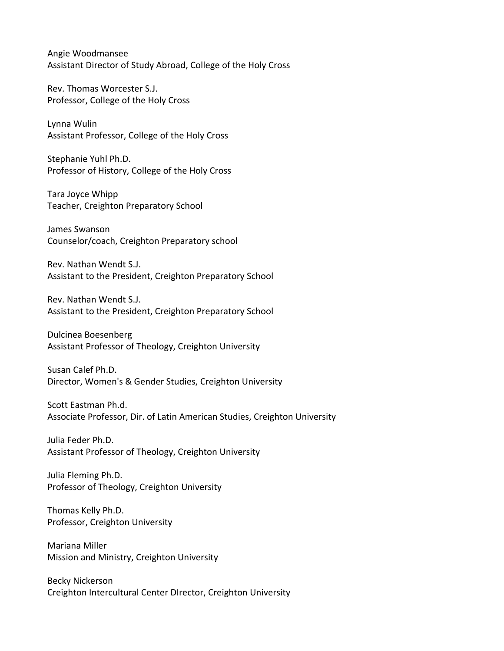Angie Woodmansee Assistant Director of Study Abroad, College of the Holy Cross

Rev. Thomas Worcester S.J. Professor, College of the Holy Cross

Lynna Wulin Assistant Professor, College of the Holy Cross

Stephanie Yuhl Ph.D. Professor of History, College of the Holy Cross

Tara Joyce Whipp Teacher, Creighton Preparatory School

James Swanson Counselor/coach, Creighton Preparatory school

Rev. Nathan Wendt S.J. Assistant to the President, Creighton Preparatory School

Rev. Nathan Wendt S.J. Assistant to the President, Creighton Preparatory School

Dulcinea Boesenberg Assistant Professor of Theology, Creighton University

Susan Calef Ph.D. Director, Women's & Gender Studies, Creighton University

Scott Eastman Ph.d. Associate Professor, Dir. of Latin American Studies, Creighton University

Julia Feder Ph.D. Assistant Professor of Theology, Creighton University

Julia Fleming Ph.D. Professor of Theology, Creighton University

Thomas Kelly Ph.D. Professor, Creighton University

Mariana Miller Mission and Ministry, Creighton University

Becky Nickerson Creighton Intercultural Center DIrector, Creighton University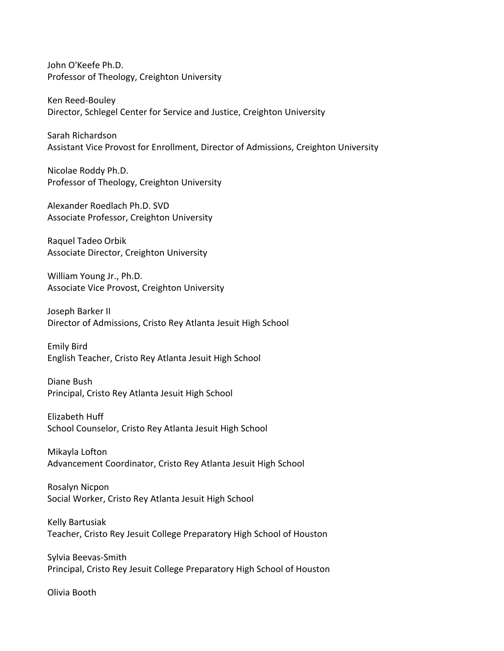John O'Keefe Ph.D. Professor of Theology, Creighton University

Ken Reed-Bouley Director, Schlegel Center for Service and Justice, Creighton University

Sarah Richardson Assistant Vice Provost for Enrollment, Director of Admissions, Creighton University

Nicolae Roddy Ph.D. Professor of Theology, Creighton University

Alexander Roedlach Ph.D. SVD Associate Professor, Creighton University

Raquel Tadeo Orbik Associate Director, Creighton University

William Young Jr., Ph.D. Associate Vice Provost, Creighton University

Joseph Barker II Director of Admissions, Cristo Rey Atlanta Jesuit High School

Emily Bird English Teacher, Cristo Rey Atlanta Jesuit High School

Diane Bush Principal, Cristo Rey Atlanta Jesuit High School

Elizabeth Huff School Counselor, Cristo Rey Atlanta Jesuit High School

Mikayla Lofton Advancement Coordinator, Cristo Rey Atlanta Jesuit High School

Rosalyn Nicpon Social Worker, Cristo Rey Atlanta Jesuit High School

Kelly Bartusiak Teacher, Cristo Rey Jesuit College Preparatory High School of Houston

Sylvia Beevas-Smith Principal, Cristo Rey Jesuit College Preparatory High School of Houston

Olivia Booth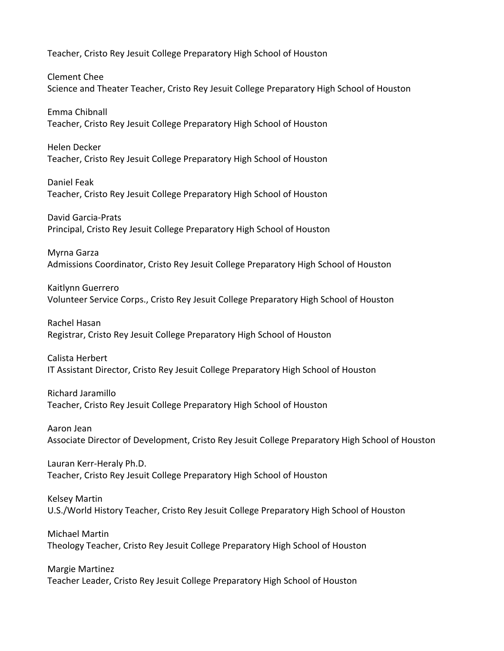Teacher, Cristo Rey Jesuit College Preparatory High School of Houston

Clement Chee Science and Theater Teacher, Cristo Rey Jesuit College Preparatory High School of Houston

Emma Chibnall Teacher, Cristo Rey Jesuit College Preparatory High School of Houston

Helen Decker Teacher, Cristo Rey Jesuit College Preparatory High School of Houston

Daniel Feak Teacher, Cristo Rey Jesuit College Preparatory High School of Houston

David Garcia-Prats Principal, Cristo Rey Jesuit College Preparatory High School of Houston

Myrna Garza Admissions Coordinator, Cristo Rey Jesuit College Preparatory High School of Houston

Kaitlynn Guerrero Volunteer Service Corps., Cristo Rey Jesuit College Preparatory High School of Houston

Rachel Hasan Registrar, Cristo Rey Jesuit College Preparatory High School of Houston

Calista Herbert IT Assistant Director, Cristo Rey Jesuit College Preparatory High School of Houston

Richard Jaramillo Teacher, Cristo Rey Jesuit College Preparatory High School of Houston

Aaron Jean Associate Director of Development, Cristo Rey Jesuit College Preparatory High School of Houston

Lauran Kerr-Heraly Ph.D. Teacher, Cristo Rey Jesuit College Preparatory High School of Houston

Kelsey Martin U.S./World History Teacher, Cristo Rey Jesuit College Preparatory High School of Houston

Michael Martin Theology Teacher, Cristo Rey Jesuit College Preparatory High School of Houston

Margie Martinez Teacher Leader, Cristo Rey Jesuit College Preparatory High School of Houston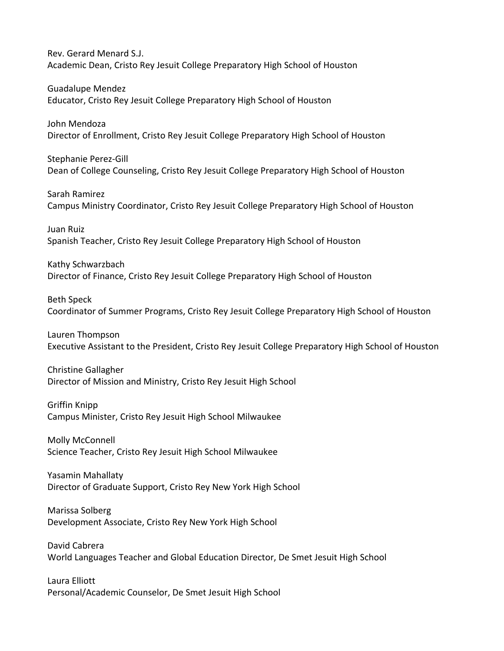Rev. Gerard Menard S.J. Academic Dean, Cristo Rey Jesuit College Preparatory High School of Houston

Guadalupe Mendez Educator, Cristo Rey Jesuit College Preparatory High School of Houston

John Mendoza Director of Enrollment, Cristo Rey Jesuit College Preparatory High School of Houston

Stephanie Perez-Gill Dean of College Counseling, Cristo Rey Jesuit College Preparatory High School of Houston

Sarah Ramirez Campus Ministry Coordinator, Cristo Rey Jesuit College Preparatory High School of Houston

Juan Ruiz Spanish Teacher, Cristo Rey Jesuit College Preparatory High School of Houston

Kathy Schwarzbach Director of Finance, Cristo Rey Jesuit College Preparatory High School of Houston

Beth Speck

Coordinator of Summer Programs, Cristo Rey Jesuit College Preparatory High School of Houston

Lauren Thompson Executive Assistant to the President, Cristo Rey Jesuit College Preparatory High School of Houston

## Christine Gallagher

Director of Mission and Ministry, Cristo Rey Jesuit High School

Griffin Knipp Campus Minister, Cristo Rey Jesuit High School Milwaukee

Molly McConnell Science Teacher, Cristo Rey Jesuit High School Milwaukee

Yasamin Mahallaty Director of Graduate Support, Cristo Rey New York High School

Marissa Solberg Development Associate, Cristo Rey New York High School

David Cabrera World Languages Teacher and Global Education Director, De Smet Jesuit High School

Laura Elliott Personal/Academic Counselor, De Smet Jesuit High School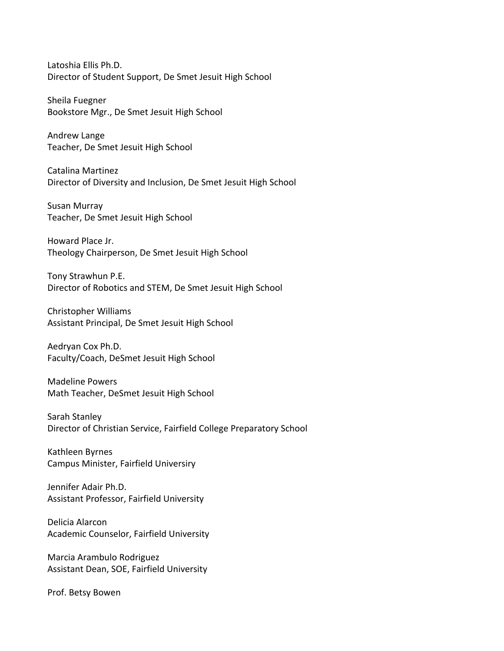Latoshia Ellis Ph.D. Director of Student Support, De Smet Jesuit High School

Sheila Fuegner Bookstore Mgr., De Smet Jesuit High School

Andrew Lange Teacher, De Smet Jesuit High School

Catalina Martinez Director of Diversity and Inclusion, De Smet Jesuit High School

Susan Murray Teacher, De Smet Jesuit High School

Howard Place Jr. Theology Chairperson, De Smet Jesuit High School

Tony Strawhun P.E. Director of Robotics and STEM, De Smet Jesuit High School

Christopher Williams Assistant Principal, De Smet Jesuit High School

Aedryan Cox Ph.D. Faculty/Coach, DeSmet Jesuit High School

Madeline Powers Math Teacher, DeSmet Jesuit High School

Sarah Stanley Director of Christian Service, Fairfield College Preparatory School

Kathleen Byrnes Campus Minister, Fairfield Universiry

Jennifer Adair Ph.D. Assistant Professor, Fairfield University

Delicia Alarcon Academic Counselor, Fairfield University

Marcia Arambulo Rodriguez Assistant Dean, SOE, Fairfield University

Prof. Betsy Bowen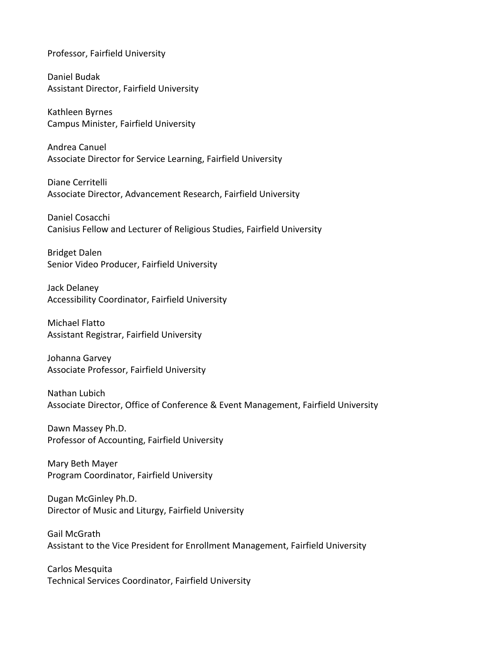Professor, Fairfield University

Daniel Budak Assistant Director, Fairfield University

Kathleen Byrnes Campus Minister, Fairfield University

Andrea Canuel Associate Director for Service Learning, Fairfield University

Diane Cerritelli Associate Director, Advancement Research, Fairfield University

Daniel Cosacchi Canisius Fellow and Lecturer of Religious Studies, Fairfield University

Bridget Dalen Senior Video Producer, Fairfield University

Jack Delaney Accessibility Coordinator, Fairfield University

Michael Flatto Assistant Registrar, Fairfield University

Johanna Garvey Associate Professor, Fairfield University

Nathan Lubich Associate Director, Office of Conference & Event Management, Fairfield University

Dawn Massey Ph.D. Professor of Accounting, Fairfield University

Mary Beth Mayer Program Coordinator, Fairfield University

Dugan McGinley Ph.D. Director of Music and Liturgy, Fairfield University

Gail McGrath Assistant to the Vice President for Enrollment Management, Fairfield University

Carlos Mesquita Technical Services Coordinator, Fairfield University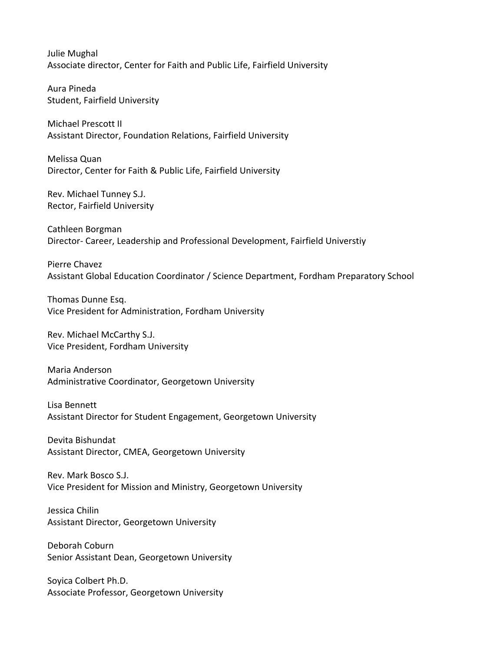Julie Mughal Associate director, Center for Faith and Public Life, Fairfield University

Aura Pineda Student, Fairfield University

Michael Prescott II Assistant Director, Foundation Relations, Fairfield University

Melissa Quan Director, Center for Faith & Public Life, Fairfield University

Rev. Michael Tunney S.J. Rector, Fairfield University

Cathleen Borgman Director- Career, Leadership and Professional Development, Fairfield Universtiy

Pierre Chavez Assistant Global Education Coordinator / Science Department, Fordham Preparatory School

Thomas Dunne Esq. Vice President for Administration, Fordham University

Rev. Michael McCarthy S.J. Vice President, Fordham University

Maria Anderson Administrative Coordinator, Georgetown University

Lisa Bennett Assistant Director for Student Engagement, Georgetown University

Devita Bishundat Assistant Director, CMEA, Georgetown University

Rev. Mark Bosco S.J. Vice President for Mission and Ministry, Georgetown University

Jessica Chilin Assistant Director, Georgetown University

Deborah Coburn Senior Assistant Dean, Georgetown University

Soyica Colbert Ph.D. Associate Professor, Georgetown University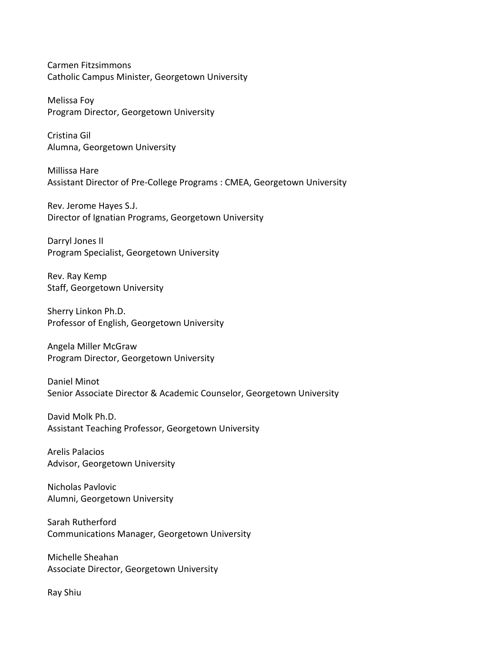Carmen Fitzsimmons Catholic Campus Minister, Georgetown University

Melissa Foy Program Director, Georgetown University

Cristina Gil Alumna, Georgetown University

Millissa Hare Assistant Director of Pre-College Programs : CMEA, Georgetown University

Rev. Jerome Hayes S.J. Director of Ignatian Programs, Georgetown University

Darryl Jones II Program Specialist, Georgetown University

Rev. Ray Kemp Staff, Georgetown University

Sherry Linkon Ph.D. Professor of English, Georgetown University

Angela Miller McGraw Program Director, Georgetown University

Daniel Minot Senior Associate Director & Academic Counselor, Georgetown University

David Molk Ph.D. Assistant Teaching Professor, Georgetown University

Arelis Palacios Advisor, Georgetown University

Nicholas Pavlovic Alumni, Georgetown University

Sarah Rutherford Communications Manager, Georgetown University

Michelle Sheahan Associate Director, Georgetown University

Ray Shiu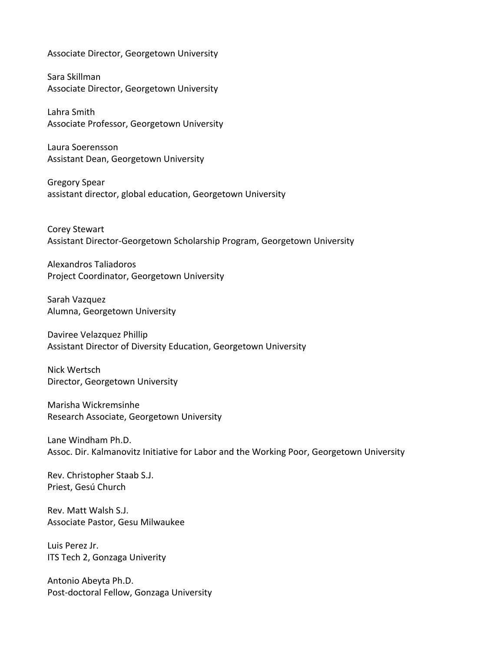Associate Director, Georgetown University

Sara Skillman Associate Director, Georgetown University

Lahra Smith Associate Professor, Georgetown University

Laura Soerensson Assistant Dean, Georgetown University

Gregory Spear assistant director, global education, Georgetown University

Corey Stewart Assistant Director-Georgetown Scholarship Program, Georgetown University

Alexandros Taliadoros Project Coordinator, Georgetown University

Sarah Vazquez Alumna, Georgetown University

Daviree Velazquez Phillip Assistant Director of Diversity Education, Georgetown University

Nick Wertsch Director, Georgetown University

Marisha Wickremsinhe Research Associate, Georgetown University

Lane Windham Ph.D. Assoc. Dir. Kalmanovitz Initiative for Labor and the Working Poor, Georgetown University

Rev. Christopher Staab S.J. Priest, Gesú Church

Rev. Matt Walsh S.J. Associate Pastor, Gesu Milwaukee

Luis Perez Jr. ITS Tech 2, Gonzaga Univerity

Antonio Abeyta Ph.D. Post-doctoral Fellow, Gonzaga University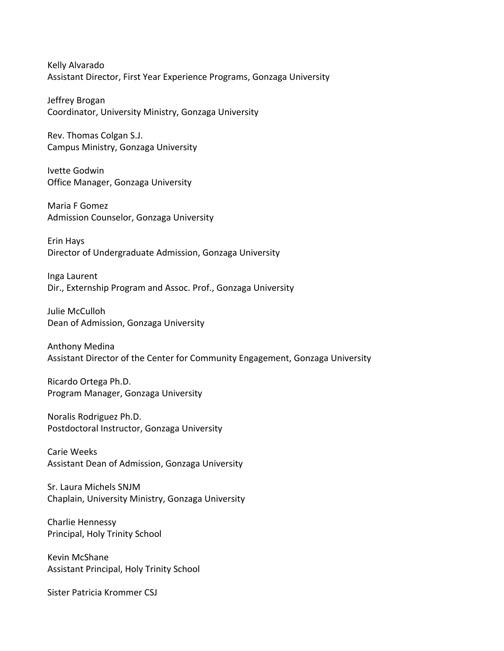Kelly Alvarado Assistant Director, First Year Experience Programs, Gonzaga University

Jeffrey Brogan Coordinator, University Ministry, Gonzaga University

Rev. Thomas Colgan S.J. Campus Ministry, Gonzaga University

Ivette Godwin Office Manager, Gonzaga University

Maria F Gomez Admission Counselor, Gonzaga University

Erin Hays Director of Undergraduate Admission, Gonzaga University

Inga Laurent Dir., Externship Program and Assoc. Prof., Gonzaga University

Julie McCulloh Dean of Admission, Gonzaga University

Anthony Medina Assistant Director of the Center for Community Engagement, Gonzaga University

Ricardo Ortega Ph.D. Program Manager, Gonzaga University

Noralis Rodriguez Ph.D. Postdoctoral Instructor, Gonzaga University

Carie Weeks Assistant Dean of Admission, Gonzaga University

Sr. Laura Michels SNJM Chaplain, University Ministry, Gonzaga University

Charlie Hennessy Principal, Holy Trinity School

Kevin McShane Assistant Principal, Holy Trinity School

Sister Patricia Krommer CSJ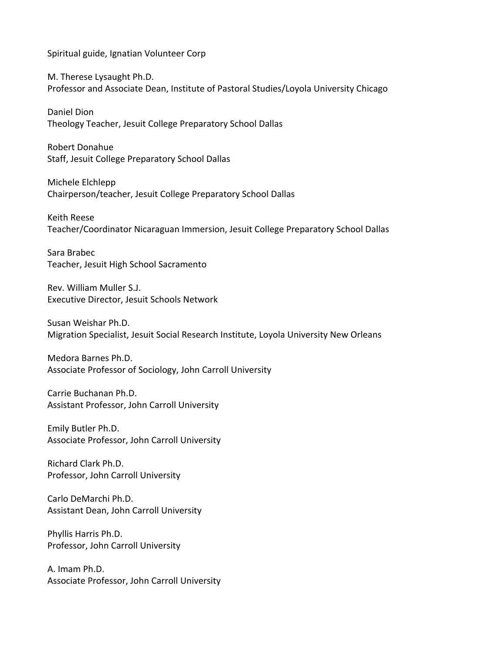Spiritual guide, Ignatian Volunteer Corp

M. Therese Lysaught Ph.D. Professor and Associate Dean, Institute of Pastoral Studies/Loyola University Chicago

Daniel Dion Theology Teacher, Jesuit College Preparatory School Dallas

Robert Donahue Staff, Jesuit College Preparatory School Dallas

Michele Elchlepp Chairperson/teacher, Jesuit College Preparatory School Dallas

Keith Reese Teacher/Coordinator Nicaraguan Immersion, Jesuit College Preparatory School Dallas

Sara Brabec Teacher, Jesuit High School Sacramento

Rev. William Muller S.J. Executive Director, Jesuit Schools Network

Susan Weishar Ph.D. Migration Specialist, Jesuit Social Research Institute, Loyola University New Orleans

Medora Barnes Ph.D. Associate Professor of Sociology, John Carroll University

Carrie Buchanan Ph.D. Assistant Professor, John Carroll University

Emily Butler Ph.D. Associate Professor, John Carroll University

Richard Clark Ph.D. Professor, John Carroll University

Carlo DeMarchi Ph.D. Assistant Dean, John Carroll University

Phyllis Harris Ph.D. Professor, John Carroll University

A. Imam Ph.D. Associate Professor, John Carroll University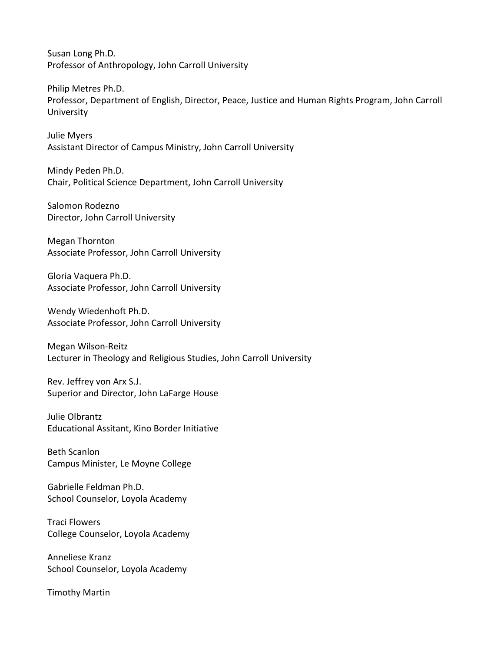Susan Long Ph.D. Professor of Anthropology, John Carroll University

Philip Metres Ph.D. Professor, Department of English, Director, Peace, Justice and Human Rights Program, John Carroll **University** 

Julie Myers Assistant Director of Campus Ministry, John Carroll University

Mindy Peden Ph.D. Chair, Political Science Department, John Carroll University

Salomon Rodezno Director, John Carroll University

Megan Thornton Associate Professor, John Carroll University

Gloria Vaquera Ph.D. Associate Professor, John Carroll University

Wendy Wiedenhoft Ph.D. Associate Professor, John Carroll University

Megan Wilson-Reitz Lecturer in Theology and Religious Studies, John Carroll University

Rev. Jeffrey von Arx S.J. Superior and Director, John LaFarge House

Julie Olbrantz Educational Assitant, Kino Border Initiative

Beth Scanlon Campus Minister, Le Moyne College

Gabrielle Feldman Ph.D. School Counselor, Loyola Academy

Traci Flowers College Counselor, Loyola Academy

Anneliese Kranz School Counselor, Loyola Academy

Timothy Martin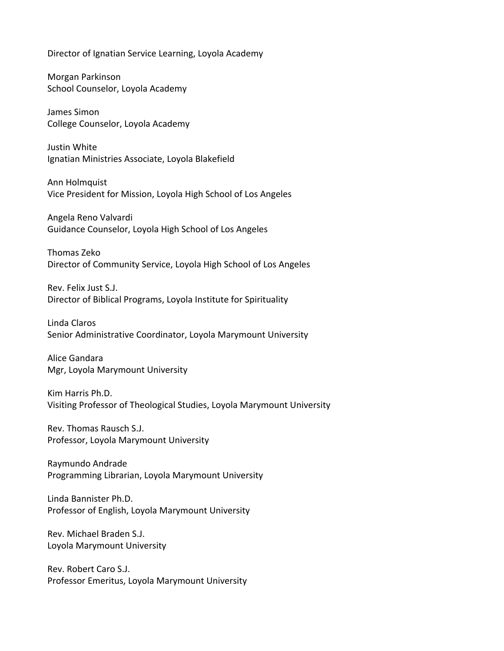Director of Ignatian Service Learning, Loyola Academy

Morgan Parkinson School Counselor, Loyola Academy

James Simon College Counselor, Loyola Academy

Justin White Ignatian Ministries Associate, Loyola Blakefield

Ann Holmquist Vice President for Mission, Loyola High School of Los Angeles

Angela Reno Valvardi Guidance Counselor, Loyola High School of Los Angeles

Thomas Zeko Director of Community Service, Loyola High School of Los Angeles

Rev. Felix Just S.J. Director of Biblical Programs, Loyola Institute for Spirituality

Linda Claros Senior Administrative Coordinator, Loyola Marymount University

Alice Gandara Mgr, Loyola Marymount University

Kim Harris Ph.D. Visiting Professor of Theological Studies, Loyola Marymount University

Rev. Thomas Rausch S.J. Professor, Loyola Marymount University

Raymundo Andrade Programming Librarian, Loyola Marymount University

Linda Bannister Ph.D. Professor of English, Loyola Marymount University

Rev. Michael Braden S.J. Loyola Marymount University

Rev. Robert Caro S.J. Professor Emeritus, Loyola Marymount University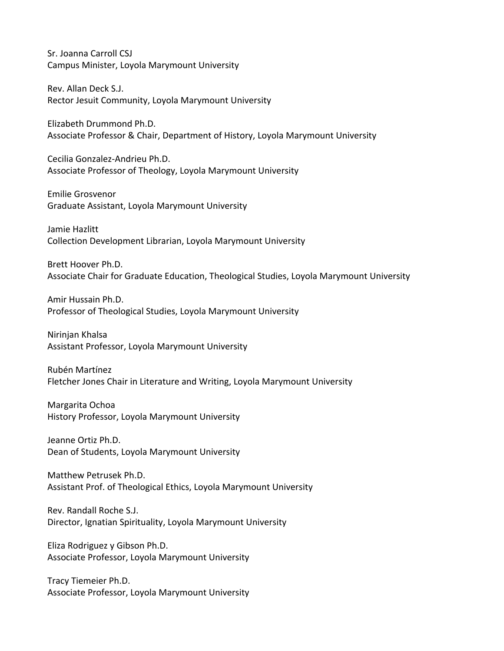Sr. Joanna Carroll CSJ Campus Minister, Loyola Marymount University

Rev. Allan Deck S.J. Rector Jesuit Community, Loyola Marymount University

Elizabeth Drummond Ph.D. Associate Professor & Chair, Department of History, Loyola Marymount University

Cecilia Gonzalez-Andrieu Ph.D. Associate Professor of Theology, Loyola Marymount University

Emilie Grosvenor Graduate Assistant, Loyola Marymount University

Jamie Hazlitt Collection Development Librarian, Loyola Marymount University

Brett Hoover Ph.D. Associate Chair for Graduate Education, Theological Studies, Loyola Marymount University

Amir Hussain Ph.D. Professor of Theological Studies, Loyola Marymount University

Nirinjan Khalsa Assistant Professor, Loyola Marymount University

Rubén Martínez Fletcher Jones Chair in Literature and Writing, Loyola Marymount University

Margarita Ochoa History Professor, Loyola Marymount University

Jeanne Ortiz Ph.D. Dean of Students, Loyola Marymount University

Matthew Petrusek Ph.D. Assistant Prof. of Theological Ethics, Loyola Marymount University

Rev. Randall Roche S.J. Director, Ignatian Spirituality, Loyola Marymount University

Eliza Rodriguez y Gibson Ph.D. Associate Professor, Loyola Marymount University

Tracy Tiemeier Ph.D. Associate Professor, Loyola Marymount University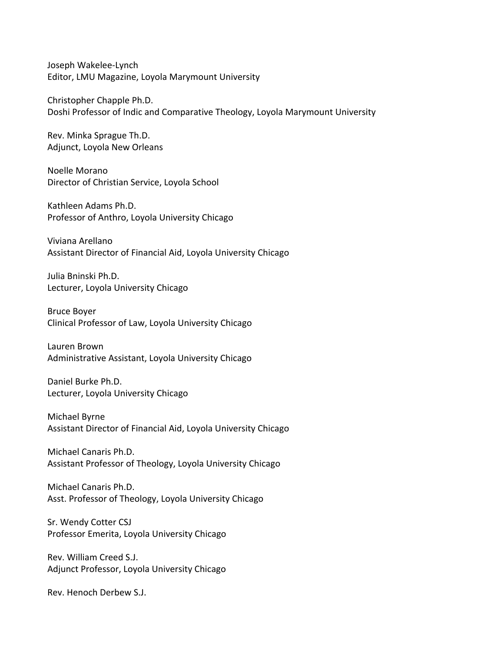Joseph Wakelee-Lynch Editor, LMU Magazine, Loyola Marymount University

Christopher Chapple Ph.D. Doshi Professor of Indic and Comparative Theology, Loyola Marymount University

Rev. Minka Sprague Th.D. Adjunct, Loyola New Orleans

Noelle Morano Director of Christian Service, Loyola School

Kathleen Adams Ph.D. Professor of Anthro, Loyola University Chicago

Viviana Arellano Assistant Director of Financial Aid, Loyola University Chicago

Julia Bninski Ph.D. Lecturer, Loyola University Chicago

Bruce Boyer Clinical Professor of Law, Loyola University Chicago

Lauren Brown Administrative Assistant, Loyola University Chicago

Daniel Burke Ph.D. Lecturer, Loyola University Chicago

Michael Byrne Assistant Director of Financial Aid, Loyola University Chicago

Michael Canaris Ph.D. Assistant Professor of Theology, Loyola University Chicago

Michael Canaris Ph.D. Asst. Professor of Theology, Loyola University Chicago

Sr. Wendy Cotter CSJ Professor Emerita, Loyola University Chicago

Rev. William Creed S.J. Adjunct Professor, Loyola University Chicago

Rev. Henoch Derbew S.J.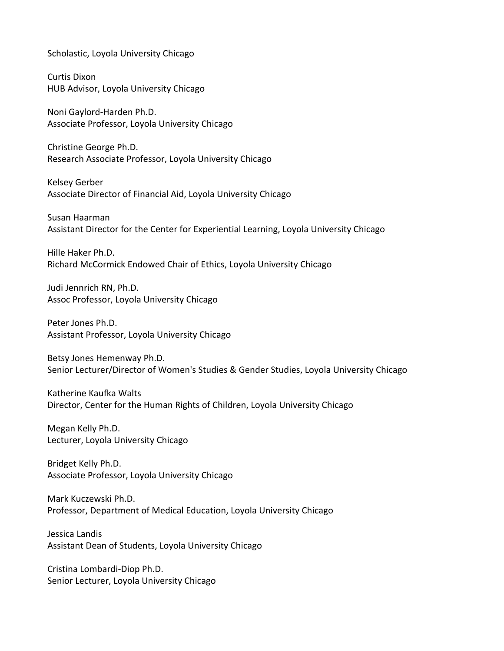Scholastic, Loyola University Chicago

Curtis Dixon HUB Advisor, Loyola University Chicago

Noni Gaylord-Harden Ph.D. Associate Professor, Loyola University Chicago

Christine George Ph.D. Research Associate Professor, Loyola University Chicago

Kelsey Gerber Associate Director of Financial Aid, Loyola University Chicago

Susan Haarman Assistant Director for the Center for Experiential Learning, Loyola University Chicago

Hille Haker Ph.D. Richard McCormick Endowed Chair of Ethics, Loyola University Chicago

Judi Jennrich RN, Ph.D. Assoc Professor, Loyola University Chicago

Peter Jones Ph.D. Assistant Professor, Loyola University Chicago

Betsy Jones Hemenway Ph.D. Senior Lecturer/Director of Women's Studies & Gender Studies, Loyola University Chicago

Katherine Kaufka Walts Director, Center for the Human Rights of Children, Loyola University Chicago

Megan Kelly Ph.D. Lecturer, Loyola University Chicago

Bridget Kelly Ph.D. Associate Professor, Loyola University Chicago

Mark Kuczewski Ph.D. Professor, Department of Medical Education, Loyola University Chicago

Jessica Landis Assistant Dean of Students, Loyola University Chicago

Cristina Lombardi-Diop Ph.D. Senior Lecturer, Loyola University Chicago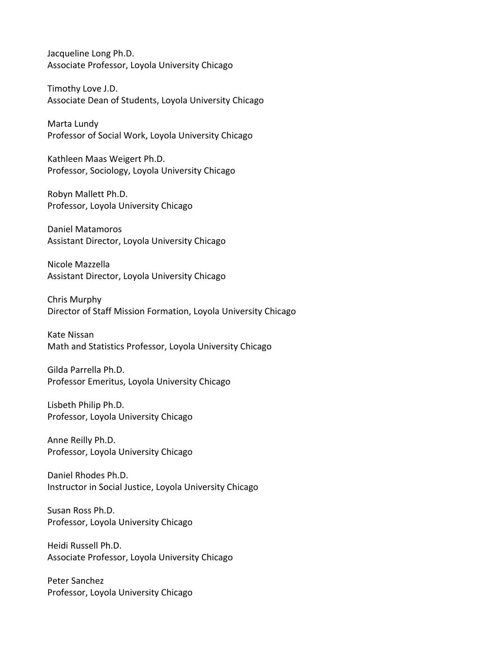Jacqueline Long Ph.D. Associate Professor, Loyola University Chicago

Timothy Love J.D. Associate Dean of Students, Loyola University Chicago

Marta Lundy Professor of Social Work, Loyola University Chicago

Kathleen Maas Weigert Ph.D. Professor, Sociology, Loyola University Chicago

Robyn Mallett Ph.D. Professor, Loyola University Chicago

Daniel Matamoros Assistant Director, Loyola University Chicago

Nicole Mazzella Assistant Director, Loyola University Chicago

Chris Murphy Director of Staff Mission Formation, Loyola University Chicago

Kate Nissan Math and Statistics Professor, Loyola University Chicago

Gilda Parrella Ph.D. Professor Emeritus, Loyola University Chicago

Lisbeth Philip Ph.D. Professor, Loyola University Chicago

Anne Reilly Ph.D. Professor, Loyola University Chicago

Daniel Rhodes Ph.D. Instructor in Social Justice, Loyola University Chicago

Susan Ross Ph.D. Professor, Loyola University Chicago

Heidi Russell Ph.D. Associate Professor, Loyola University Chicago

Peter Sanchez Professor, Loyola University Chicago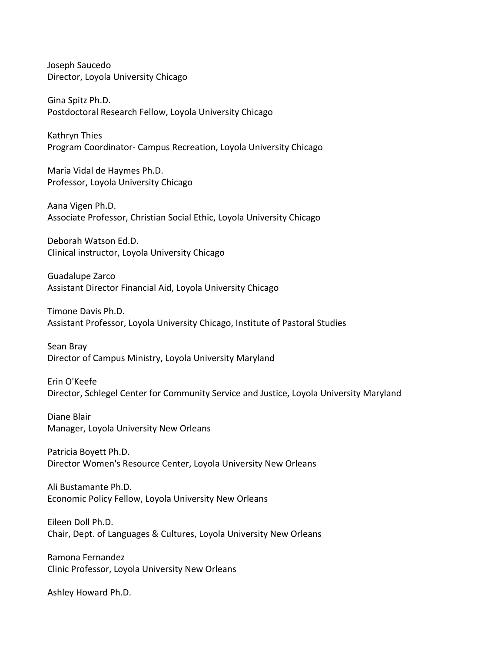Joseph Saucedo Director, Loyola University Chicago

Gina Spitz Ph.D. Postdoctoral Research Fellow, Loyola University Chicago

Kathryn Thies Program Coordinator- Campus Recreation, Loyola University Chicago

Maria Vidal de Haymes Ph.D. Professor, Loyola University Chicago

Aana Vigen Ph.D. Associate Professor, Christian Social Ethic, Loyola University Chicago

Deborah Watson Ed.D. Clinical instructor, Loyola University Chicago

Guadalupe Zarco Assistant Director Financial Aid, Loyola University Chicago

Timone Davis Ph.D. Assistant Professor, Loyola University Chicago, Institute of Pastoral Studies

Sean Bray Director of Campus Ministry, Loyola University Maryland

Erin O'Keefe Director, Schlegel Center for Community Service and Justice, Loyola University Maryland

Diane Blair Manager, Loyola University New Orleans

Patricia Boyett Ph.D. Director Women's Resource Center, Loyola University New Orleans

Ali Bustamante Ph.D. Economic Policy Fellow, Loyola University New Orleans

Eileen Doll Ph.D. Chair, Dept. of Languages & Cultures, Loyola University New Orleans

Ramona Fernandez Clinic Professor, Loyola University New Orleans

Ashley Howard Ph.D.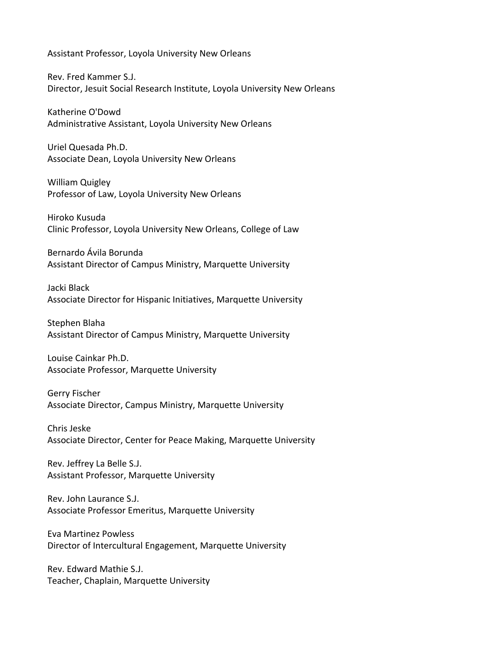Assistant Professor, Loyola University New Orleans

Rev. Fred Kammer S.J. Director, Jesuit Social Research Institute, Loyola University New Orleans

Katherine O'Dowd Administrative Assistant, Loyola University New Orleans

Uriel Quesada Ph.D. Associate Dean, Loyola University New Orleans

William Quigley Professor of Law, Loyola University New Orleans

Hiroko Kusuda Clinic Professor, Loyola University New Orleans, College of Law

Bernardo Ávila Borunda Assistant Director of Campus Ministry, Marquette University

Jacki Black Associate Director for Hispanic Initiatives, Marquette University

Stephen Blaha Assistant Director of Campus Ministry, Marquette University

Louise Cainkar Ph.D. Associate Professor, Marquette University

Gerry Fischer Associate Director, Campus Ministry, Marquette University

Chris Jeske Associate Director, Center for Peace Making, Marquette University

Rev. Jeffrey La Belle S.J. Assistant Professor, Marquette University

Rev. John Laurance S.J. Associate Professor Emeritus, Marquette University

Eva Martinez Powless Director of Intercultural Engagement, Marquette University

Rev. Edward Mathie S.J. Teacher, Chaplain, Marquette University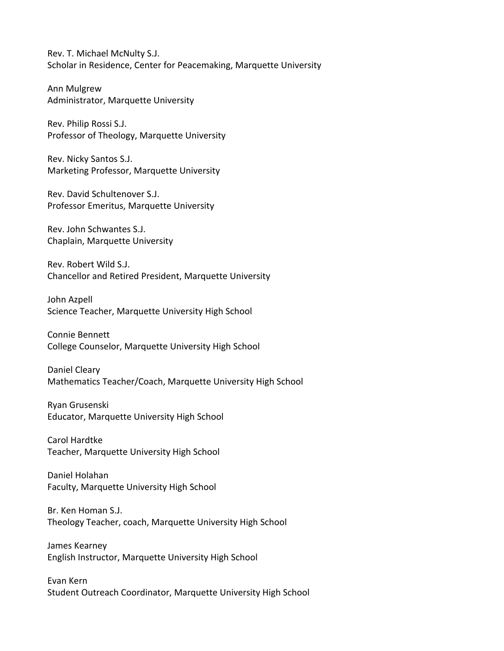Rev. T. Michael McNulty S.J. Scholar in Residence, Center for Peacemaking, Marquette University

Ann Mulgrew Administrator, Marquette University

Rev. Philip Rossi S.J. Professor of Theology, Marquette University

Rev. Nicky Santos S.J. Marketing Professor, Marquette University

Rev. David Schultenover S.J. Professor Emeritus, Marquette University

Rev. John Schwantes S.J. Chaplain, Marquette University

Rev. Robert Wild S.J. Chancellor and Retired President, Marquette University

John Azpell Science Teacher, Marquette University High School

Connie Bennett College Counselor, Marquette University High School

Daniel Cleary Mathematics Teacher/Coach, Marquette University High School

Ryan Grusenski Educator, Marquette University High School

Carol Hardtke Teacher, Marquette University High School

Daniel Holahan Faculty, Marquette University High School

Br. Ken Homan S.J. Theology Teacher, coach, Marquette University High School

James Kearney English Instructor, Marquette University High School

Evan Kern Student Outreach Coordinator, Marquette University High School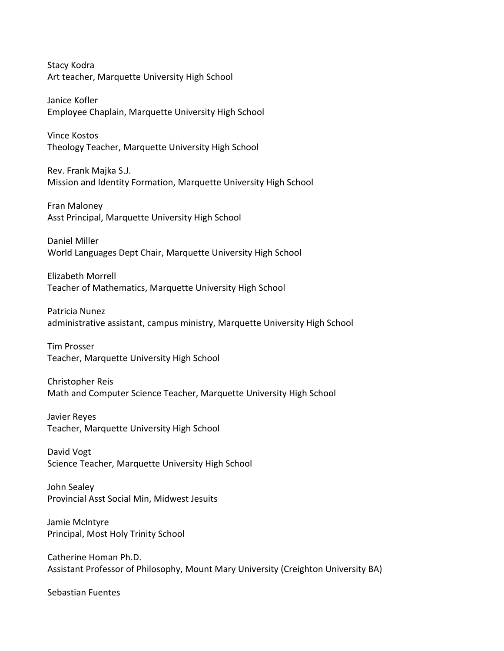Stacy Kodra Art teacher, Marquette University High School

Janice Kofler Employee Chaplain, Marquette University High School

Vince Kostos Theology Teacher, Marquette University High School

Rev. Frank Majka S.J. Mission and Identity Formation, Marquette University High School

Fran Maloney Asst Principal, Marquette University High School

Daniel Miller World Languages Dept Chair, Marquette University High School

Elizabeth Morrell Teacher of Mathematics, Marquette University High School

Patricia Nunez administrative assistant, campus ministry, Marquette University High School

Tim Prosser Teacher, Marquette University High School

Christopher Reis Math and Computer Science Teacher, Marquette University High School

Javier Reyes Teacher, Marquette University High School

David Vogt Science Teacher, Marquette University High School

John Sealey Provincial Asst Social Min, Midwest Jesuits

Jamie McIntyre Principal, Most Holy Trinity School

Catherine Homan Ph.D. Assistant Professor of Philosophy, Mount Mary University (Creighton University BA)

Sebastian Fuentes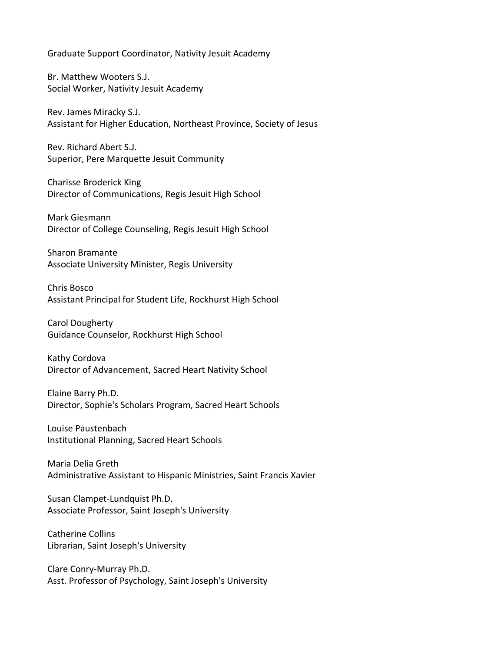Graduate Support Coordinator, Nativity Jesuit Academy

Br. Matthew Wooters S.J. Social Worker, Nativity Jesuit Academy

Rev. James Miracky S.J. Assistant for Higher Education, Northeast Province, Society of Jesus

Rev. Richard Abert S.J. Superior, Pere Marquette Jesuit Community

Charisse Broderick King Director of Communications, Regis Jesuit High School

Mark Giesmann Director of College Counseling, Regis Jesuit High School

Sharon Bramante Associate University Minister, Regis University

Chris Bosco Assistant Principal for Student Life, Rockhurst High School

Carol Dougherty Guidance Counselor, Rockhurst High School

Kathy Cordova Director of Advancement, Sacred Heart Nativity School

Elaine Barry Ph.D. Director, Sophie's Scholars Program, Sacred Heart Schools

Louise Paustenbach Institutional Planning, Sacred Heart Schools

Maria Delia Greth Administrative Assistant to Hispanic Ministries, Saint Francis Xavier

Susan Clampet-Lundquist Ph.D. Associate Professor, Saint Joseph's University

Catherine Collins Librarian, Saint Joseph's University

Clare Conry-Murray Ph.D. Asst. Professor of Psychology, Saint Joseph's University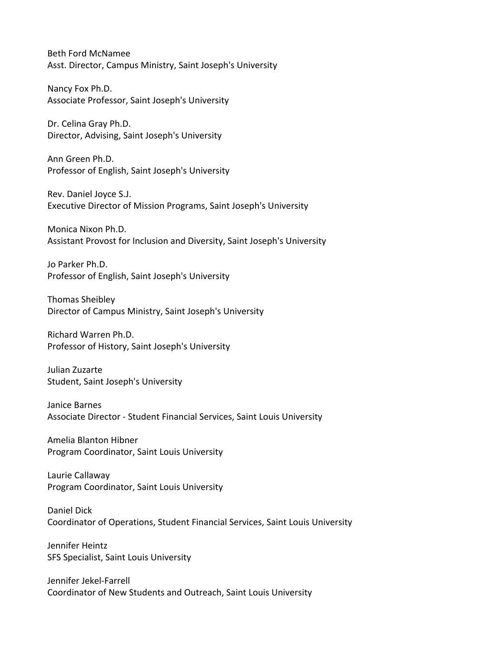Beth Ford McNamee Asst. Director, Campus Ministry, Saint Joseph's University

Nancy Fox Ph.D. Associate Professor, Saint Joseph's University

Dr. Celina Gray Ph.D. Director, Advising, Saint Joseph's University

Ann Green Ph.D. Professor of English, Saint Joseph's University

Rev. Daniel Joyce S.J. Executive Director of Mission Programs, Saint Joseph's University

Monica Nixon Ph.D. Assistant Provost for Inclusion and Diversity, Saint Joseph's University

Jo Parker Ph.D. Professor of English, Saint Joseph's University

Thomas Sheibley Director of Campus Ministry, Saint Joseph's University

Richard Warren Ph.D. Professor of History, Saint Joseph's University

Julian Zuzarte Student, Saint Joseph's University

Janice Barnes Associate Director - Student Financial Services, Saint Louis University

Amelia Blanton Hibner Program Coordinator, Saint Louis University

Laurie Callaway Program Coordinator, Saint Louis University

Daniel Dick Coordinator of Operations, Student Financial Services, Saint Louis University

Jennifer Heintz SFS Specialist, Saint Louis University

Jennifer Jekel-Farrell Coordinator of New Students and Outreach, Saint Louis University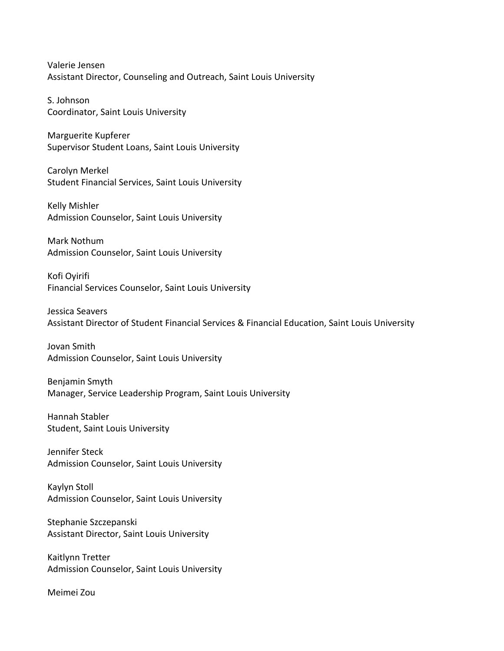Valerie Jensen Assistant Director, Counseling and Outreach, Saint Louis University

S. Johnson Coordinator, Saint Louis University

Marguerite Kupferer Supervisor Student Loans, Saint Louis University

Carolyn Merkel Student Financial Services, Saint Louis University

Kelly Mishler Admission Counselor, Saint Louis University

Mark Nothum Admission Counselor, Saint Louis University

Kofi Oyirifi Financial Services Counselor, Saint Louis University

Jessica Seavers Assistant Director of Student Financial Services & Financial Education, Saint Louis University

Jovan Smith Admission Counselor, Saint Louis University

Benjamin Smyth Manager, Service Leadership Program, Saint Louis University

Hannah Stabler Student, Saint Louis University

Jennifer Steck Admission Counselor, Saint Louis University

Kaylyn Stoll Admission Counselor, Saint Louis University

Stephanie Szczepanski Assistant Director, Saint Louis University

Kaitlynn Tretter Admission Counselor, Saint Louis University

Meimei Zou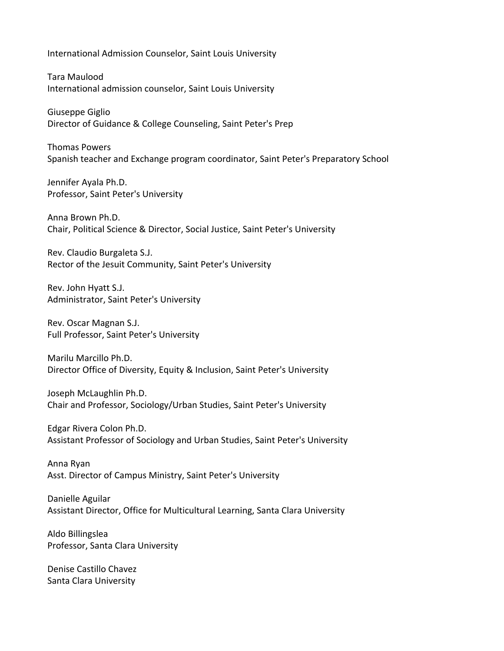International Admission Counselor, Saint Louis University

Tara Maulood International admission counselor, Saint Louis University

Giuseppe Giglio Director of Guidance & College Counseling, Saint Peter's Prep

Thomas Powers Spanish teacher and Exchange program coordinator, Saint Peter's Preparatory School

Jennifer Ayala Ph.D. Professor, Saint Peter's University

Anna Brown Ph.D. Chair, Political Science & Director, Social Justice, Saint Peter's University

Rev. Claudio Burgaleta S.J. Rector of the Jesuit Community, Saint Peter's University

Rev. John Hyatt S.J. Administrator, Saint Peter's University

Rev. Oscar Magnan S.J. Full Professor, Saint Peter's University

Marilu Marcillo Ph.D. Director Office of Diversity, Equity & Inclusion, Saint Peter's University

Joseph McLaughlin Ph.D. Chair and Professor, Sociology/Urban Studies, Saint Peter's University

Edgar Rivera Colon Ph.D. Assistant Professor of Sociology and Urban Studies, Saint Peter's University

Anna Ryan Asst. Director of Campus Ministry, Saint Peter's University

Danielle Aguilar Assistant Director, Office for Multicultural Learning, Santa Clara University

Aldo Billingslea Professor, Santa Clara University

Denise Castillo Chavez Santa Clara University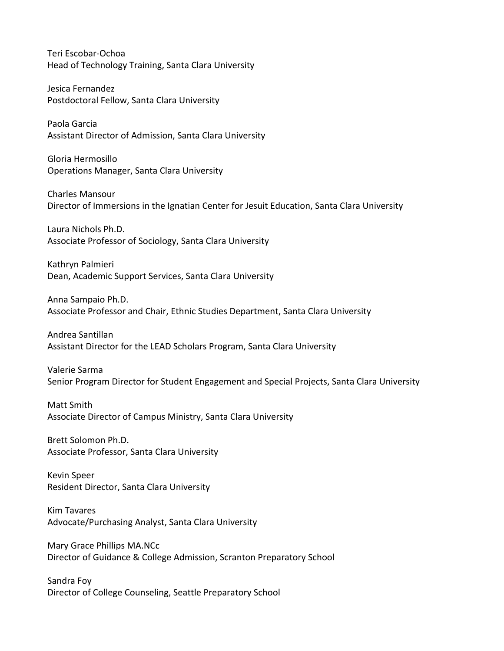Teri Escobar-Ochoa Head of Technology Training, Santa Clara University

Jesica Fernandez Postdoctoral Fellow, Santa Clara University

Paola Garcia Assistant Director of Admission, Santa Clara University

Gloria Hermosillo Operations Manager, Santa Clara University

Charles Mansour Director of Immersions in the Ignatian Center for Jesuit Education, Santa Clara University

Laura Nichols Ph.D. Associate Professor of Sociology, Santa Clara University

Kathryn Palmieri Dean, Academic Support Services, Santa Clara University

Anna Sampaio Ph.D. Associate Professor and Chair, Ethnic Studies Department, Santa Clara University

Andrea Santillan Assistant Director for the LEAD Scholars Program, Santa Clara University

Valerie Sarma Senior Program Director for Student Engagement and Special Projects, Santa Clara University

Matt Smith Associate Director of Campus Ministry, Santa Clara University

Brett Solomon Ph.D. Associate Professor, Santa Clara University

Kevin Speer Resident Director, Santa Clara University

Kim Tavares Advocate/Purchasing Analyst, Santa Clara University

Mary Grace Phillips MA.NCc Director of Guidance & College Admission, Scranton Preparatory School

Sandra Foy Director of College Counseling, Seattle Preparatory School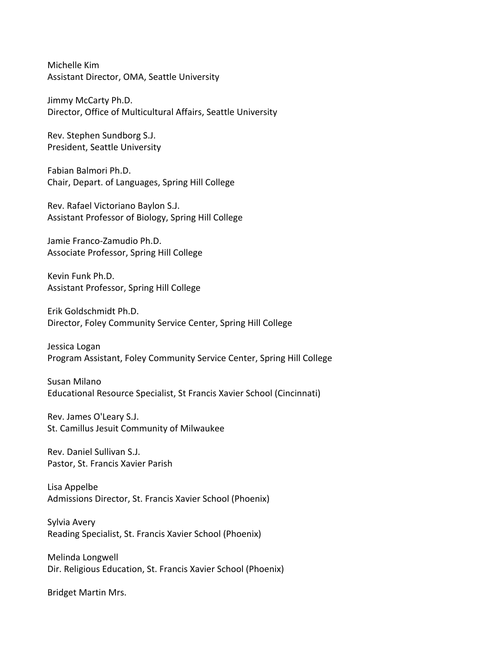Michelle Kim Assistant Director, OMA, Seattle University

Jimmy McCarty Ph.D. Director, Office of Multicultural Affairs, Seattle University

Rev. Stephen Sundborg S.J. President, Seattle University

Fabian Balmori Ph.D. Chair, Depart. of Languages, Spring Hill College

Rev. Rafael Victoriano Baylon S.J. Assistant Professor of Biology, Spring Hill College

Jamie Franco-Zamudio Ph.D. Associate Professor, Spring Hill College

Kevin Funk Ph.D. Assistant Professor, Spring Hill College

Erik Goldschmidt Ph.D. Director, Foley Community Service Center, Spring Hill College

Jessica Logan Program Assistant, Foley Community Service Center, Spring Hill College

Susan Milano Educational Resource Specialist, St Francis Xavier School (Cincinnati)

Rev. James O'Leary S.J. St. Camillus Jesuit Community of Milwaukee

Rev. Daniel Sullivan S.J. Pastor, St. Francis Xavier Parish

Lisa Appelbe Admissions Director, St. Francis Xavier School (Phoenix)

Sylvia Avery Reading Specialist, St. Francis Xavier School (Phoenix)

Melinda Longwell Dir. Religious Education, St. Francis Xavier School (Phoenix)

Bridget Martin Mrs.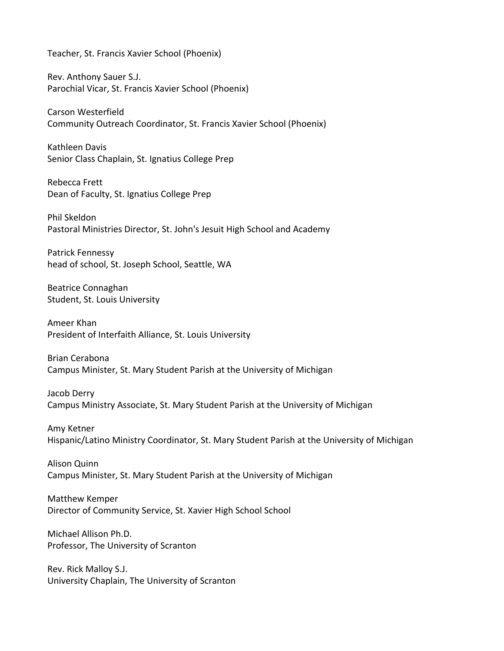Teacher, St. Francis Xavier School (Phoenix)

Rev. Anthony Sauer S.J. Parochial Vicar, St. Francis Xavier School (Phoenix)

Carson Westerfield Community Outreach Coordinator, St. Francis Xavier School (Phoenix)

Kathleen Davis Senior Class Chaplain, St. Ignatius College Prep

Rebecca Frett Dean of Faculty, St. Ignatius College Prep

Phil Skeldon Pastoral Ministries Director, St. John's Jesuit High School and Academy

Patrick Fennessy head of school, St. Joseph School, Seattle, WA

Beatrice Connaghan Student, St. Louis University

Ameer Khan President of Interfaith Alliance, St. Louis University

Brian Cerabona Campus Minister, St. Mary Student Parish at the University of Michigan

Jacob Derry Campus Ministry Associate, St. Mary Student Parish at the University of Michigan

Amy Ketner Hispanic/Latino Ministry Coordinator, St. Mary Student Parish at the University of Michigan

Alison Quinn Campus Minister, St. Mary Student Parish at the University of Michigan

Matthew Kemper Director of Community Service, St. Xavier High School School

Michael Allison Ph.D. Professor, The University of Scranton

Rev. Rick Malloy S.J. University Chaplain, The University of Scranton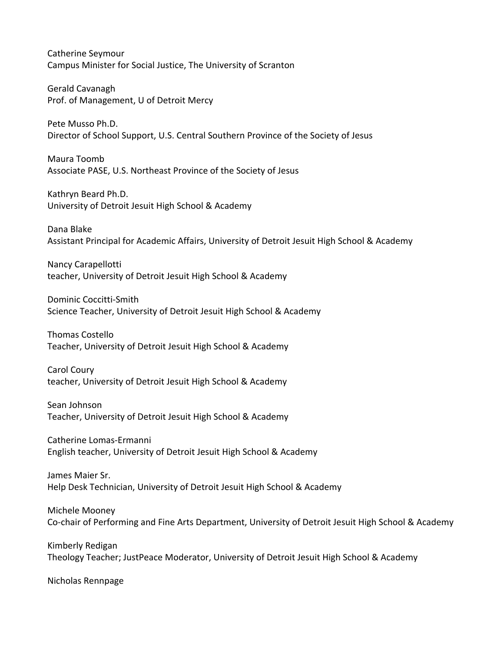Catherine Seymour Campus Minister for Social Justice, The University of Scranton

Gerald Cavanagh Prof. of Management, U of Detroit Mercy

Pete Musso Ph.D. Director of School Support, U.S. Central Southern Province of the Society of Jesus

Maura Toomb Associate PASE, U.S. Northeast Province of the Society of Jesus

Kathryn Beard Ph.D. University of Detroit Jesuit High School & Academy

Dana Blake Assistant Principal for Academic Affairs, University of Detroit Jesuit High School & Academy

Nancy Carapellotti teacher, University of Detroit Jesuit High School & Academy

Dominic Coccitti-Smith Science Teacher, University of Detroit Jesuit High School & Academy

Thomas Costello Teacher, University of Detroit Jesuit High School & Academy

Carol Coury teacher, University of Detroit Jesuit High School & Academy

Sean Johnson Teacher, University of Detroit Jesuit High School & Academy

Catherine Lomas-Ermanni English teacher, University of Detroit Jesuit High School & Academy

James Maier Sr. Help Desk Technician, University of Detroit Jesuit High School & Academy

Michele Mooney Co-chair of Performing and Fine Arts Department, University of Detroit Jesuit High School & Academy

Kimberly Redigan Theology Teacher; JustPeace Moderator, University of Detroit Jesuit High School & Academy

Nicholas Rennpage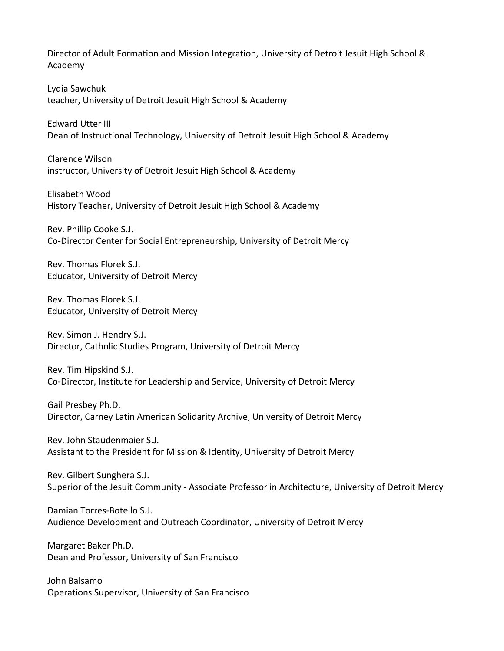Director of Adult Formation and Mission Integration, University of Detroit Jesuit High School & Academy

Lydia Sawchuk teacher, University of Detroit Jesuit High School & Academy

Edward Utter III Dean of Instructional Technology, University of Detroit Jesuit High School & Academy

Clarence Wilson instructor, University of Detroit Jesuit High School & Academy

Elisabeth Wood History Teacher, University of Detroit Jesuit High School & Academy

Rev. Phillip Cooke S.J. Co-Director Center for Social Entrepreneurship, University of Detroit Mercy

Rev. Thomas Florek S.J. Educator, University of Detroit Mercy

Rev. Thomas Florek S.J. Educator, University of Detroit Mercy

Rev. Simon J. Hendry S.J. Director, Catholic Studies Program, University of Detroit Mercy

Rev. Tim Hipskind S.J. Co-Director, Institute for Leadership and Service, University of Detroit Mercy

Gail Presbey Ph.D. Director, Carney Latin American Solidarity Archive, University of Detroit Mercy

Rev. John Staudenmaier S.J. Assistant to the President for Mission & Identity, University of Detroit Mercy

Rev. Gilbert Sunghera S.J. Superior of the Jesuit Community - Associate Professor in Architecture, University of Detroit Mercy

Damian Torres-Botello S.J. Audience Development and Outreach Coordinator, University of Detroit Mercy

Margaret Baker Ph.D. Dean and Professor, University of San Francisco

John Balsamo Operations Supervisor, University of San Francisco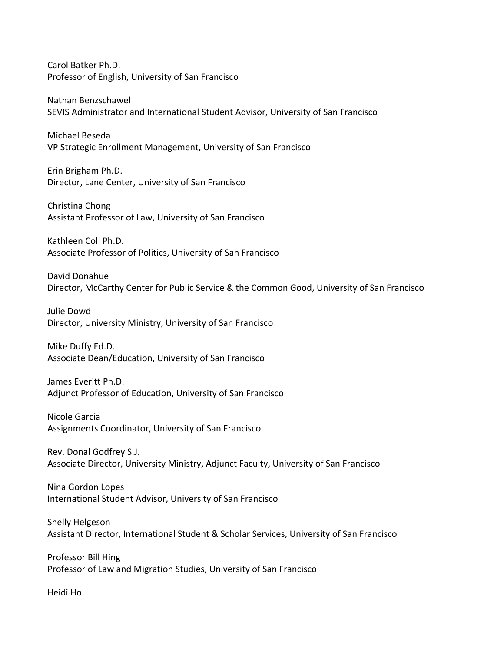Carol Batker Ph.D. Professor of English, University of San Francisco

Nathan Benzschawel SEVIS Administrator and International Student Advisor, University of San Francisco

Michael Beseda VP Strategic Enrollment Management, University of San Francisco

Erin Brigham Ph.D. Director, Lane Center, University of San Francisco

Christina Chong Assistant Professor of Law, University of San Francisco

Kathleen Coll Ph.D. Associate Professor of Politics, University of San Francisco

David Donahue Director, McCarthy Center for Public Service & the Common Good, University of San Francisco

Julie Dowd Director, University Ministry, University of San Francisco

Mike Duffy Ed.D. Associate Dean/Education, University of San Francisco

James Everitt Ph.D. Adjunct Professor of Education, University of San Francisco

Nicole Garcia Assignments Coordinator, University of San Francisco

Rev. Donal Godfrey S.J. Associate Director, University Ministry, Adjunct Faculty, University of San Francisco

Nina Gordon Lopes International Student Advisor, University of San Francisco

Shelly Helgeson Assistant Director, International Student & Scholar Services, University of San Francisco

Professor Bill Hing Professor of Law and Migration Studies, University of San Francisco

Heidi Ho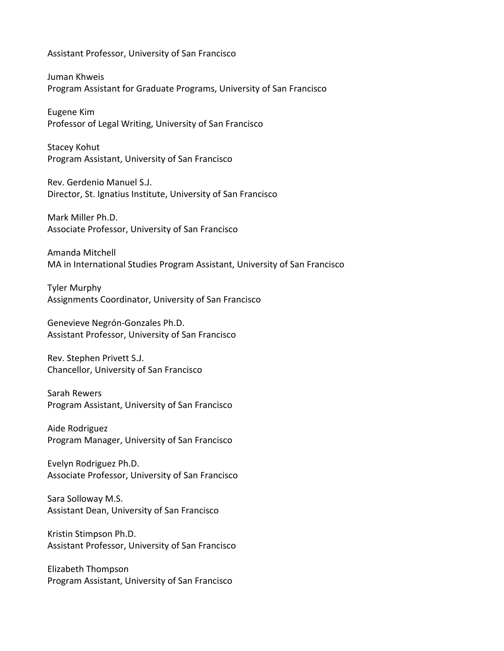Assistant Professor, University of San Francisco

Juman Khweis Program Assistant for Graduate Programs, University of San Francisco

Eugene Kim Professor of Legal Writing, University of San Francisco

Stacey Kohut Program Assistant, University of San Francisco

Rev. Gerdenio Manuel S.J. Director, St. Ignatius Institute, University of San Francisco

Mark Miller Ph.D. Associate Professor, University of San Francisco

Amanda Mitchell MA in International Studies Program Assistant, University of San Francisco

Tyler Murphy Assignments Coordinator, University of San Francisco

Genevieve Negrón-Gonzales Ph.D. Assistant Professor, University of San Francisco

Rev. Stephen Privett S.J. Chancellor, University of San Francisco

Sarah Rewers Program Assistant, University of San Francisco

Aide Rodriguez Program Manager, University of San Francisco

Evelyn Rodriguez Ph.D. Associate Professor, University of San Francisco

Sara Solloway M.S. Assistant Dean, University of San Francisco

Kristin Stimpson Ph.D. Assistant Professor, University of San Francisco

Elizabeth Thompson Program Assistant, University of San Francisco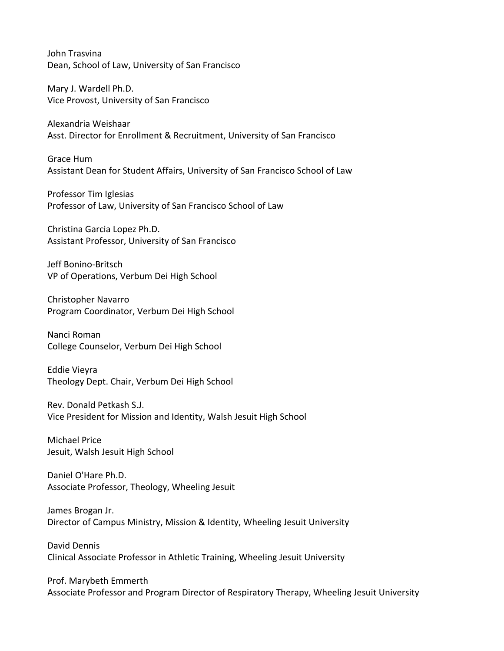John Trasvina Dean, School of Law, University of San Francisco

Mary J. Wardell Ph.D. Vice Provost, University of San Francisco

Alexandria Weishaar Asst. Director for Enrollment & Recruitment, University of San Francisco

Grace Hum Assistant Dean for Student Affairs, University of San Francisco School of Law

Professor Tim Iglesias Professor of Law, University of San Francisco School of Law

Christina Garcia Lopez Ph.D. Assistant Professor, University of San Francisco

Jeff Bonino-Britsch VP of Operations, Verbum Dei High School

Christopher Navarro Program Coordinator, Verbum Dei High School

Nanci Roman College Counselor, Verbum Dei High School

Eddie Vieyra Theology Dept. Chair, Verbum Dei High School

Rev. Donald Petkash S.J. Vice President for Mission and Identity, Walsh Jesuit High School

Michael Price Jesuit, Walsh Jesuit High School

Daniel O'Hare Ph.D. Associate Professor, Theology, Wheeling Jesuit

James Brogan Jr. Director of Campus Ministry, Mission & Identity, Wheeling Jesuit University

David Dennis Clinical Associate Professor in Athletic Training, Wheeling Jesuit University

Prof. Marybeth Emmerth Associate Professor and Program Director of Respiratory Therapy, Wheeling Jesuit University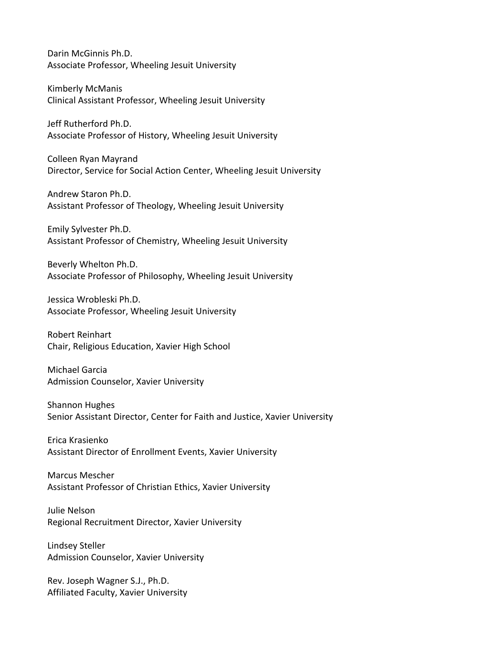Darin McGinnis Ph.D. Associate Professor, Wheeling Jesuit University

Kimberly McManis Clinical Assistant Professor, Wheeling Jesuit University

Jeff Rutherford Ph.D. Associate Professor of History, Wheeling Jesuit University

Colleen Ryan Mayrand Director, Service for Social Action Center, Wheeling Jesuit University

Andrew Staron Ph.D. Assistant Professor of Theology, Wheeling Jesuit University

Emily Sylvester Ph.D. Assistant Professor of Chemistry, Wheeling Jesuit University

Beverly Whelton Ph.D. Associate Professor of Philosophy, Wheeling Jesuit University

Jessica Wrobleski Ph.D. Associate Professor, Wheeling Jesuit University

Robert Reinhart Chair, Religious Education, Xavier High School

Michael Garcia Admission Counselor, Xavier University

Shannon Hughes Senior Assistant Director, Center for Faith and Justice, Xavier University

Erica Krasienko Assistant Director of Enrollment Events, Xavier University

Marcus Mescher Assistant Professor of Christian Ethics, Xavier University

Julie Nelson Regional Recruitment Director, Xavier University

Lindsey Steller Admission Counselor, Xavier University

Rev. Joseph Wagner S.J., Ph.D. Affiliated Faculty, Xavier University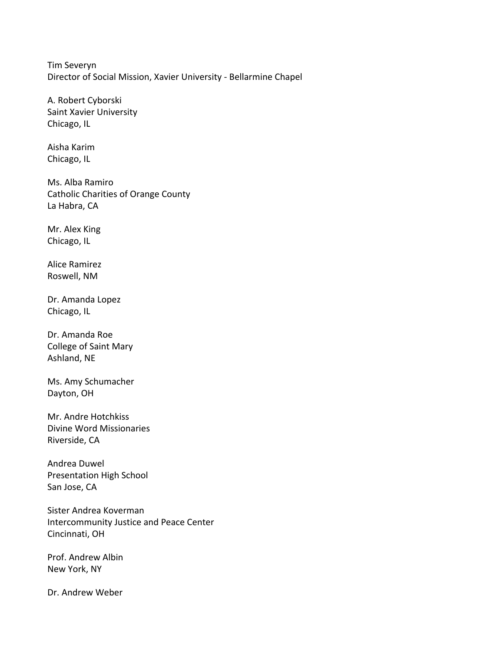Tim Severyn Director of Social Mission, Xavier University - Bellarmine Chapel

A. Robert Cyborski Saint Xavier University Chicago, IL

Aisha Karim Chicago, IL

Ms. Alba Ramiro Catholic Charities of Orange County La Habra, CA

Mr. Alex King Chicago, IL

Alice Ramirez Roswell, NM

Dr. Amanda Lopez Chicago, IL

Dr. Amanda Roe College of Saint Mary Ashland, NE

Ms. Amy Schumacher Dayton, OH

Mr. Andre Hotchkiss Divine Word Missionaries Riverside, CA

Andrea Duwel Presentation High School San Jose, CA

Sister Andrea Koverman Intercommunity Justice and Peace Center Cincinnati, OH

Prof. Andrew Albin New York, NY

Dr. Andrew Weber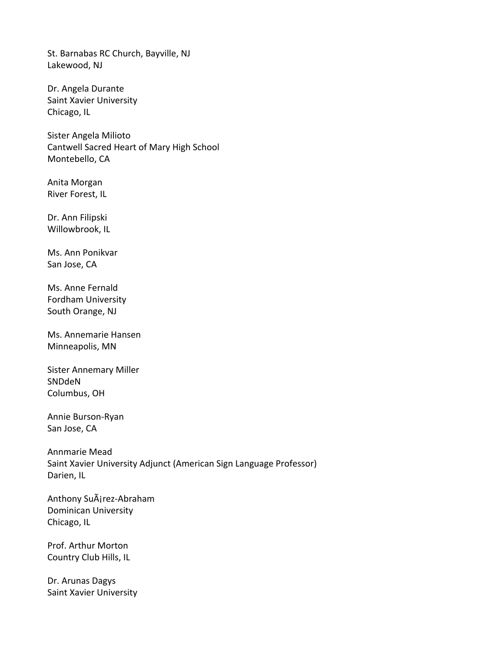St. Barnabas RC Church, Bayville, NJ Lakewood, NJ

Dr. Angela Durante Saint Xavier University Chicago, IL

Sister Angela Milioto Cantwell Sacred Heart of Mary High School Montebello, CA

Anita Morgan River Forest, IL

Dr. Ann Filipski Willowbrook, IL

Ms. Ann Ponikvar San Jose, CA

Ms. Anne Fernald Fordham University South Orange, NJ

Ms. Annemarie Hansen Minneapolis, MN

Sister Annemary Miller SNDdeN Columbus, OH

Annie Burson-Ryan San Jose, CA

Annmarie Mead Saint Xavier University Adjunct (American Sign Language Professor) Darien, IL

Anthony SuAirez-Abraham Dominican University Chicago, IL

Prof. Arthur Morton Country Club Hills, IL

Dr. Arunas Dagys Saint Xavier University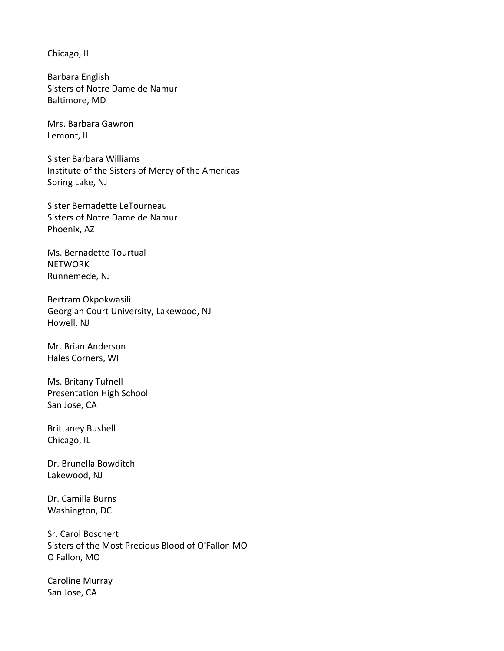Chicago, IL

Barbara English Sisters of Notre Dame de Namur Baltimore, MD

Mrs. Barbara Gawron Lemont, IL

Sister Barbara Williams Institute of the Sisters of Mercy of the Americas Spring Lake, NJ

Sister Bernadette LeTourneau Sisters of Notre Dame de Namur Phoenix, AZ

Ms. Bernadette Tourtual **NETWORK** Runnemede, NJ

Bertram Okpokwasili Georgian Court University, Lakewood, NJ Howell, NJ

Mr. Brian Anderson Hales Corners, WI

Ms. Britany Tufnell Presentation High School San Jose, CA

Brittaney Bushell Chicago, IL

Dr. Brunella Bowditch Lakewood, NJ

Dr. Camilla Burns Washington, DC

Sr. Carol Boschert Sisters of the Most Precious Blood of O'Fallon MO O Fallon, MO

Caroline Murray San Jose, CA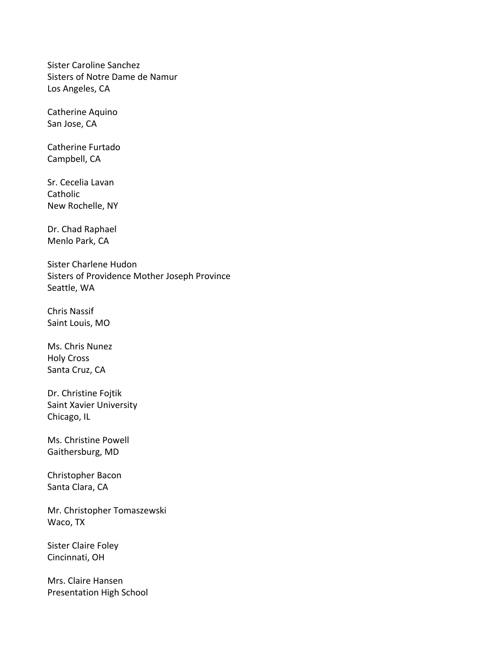Sister Caroline Sanchez Sisters of Notre Dame de Namur Los Angeles, CA

Catherine Aquino San Jose, CA

Catherine Furtado Campbell, CA

Sr. Cecelia Lavan **Catholic** New Rochelle, NY

Dr. Chad Raphael Menlo Park, CA

Sister Charlene Hudon Sisters of Providence Mother Joseph Province Seattle, WA

Chris Nassif Saint Louis, MO

Ms. Chris Nunez Holy Cross Santa Cruz, CA

Dr. Christine Fojtik Saint Xavier University Chicago, IL

Ms. Christine Powell Gaithersburg, MD

Christopher Bacon Santa Clara, CA

Mr. Christopher Tomaszewski Waco, TX

Sister Claire Foley Cincinnati, OH

Mrs. Claire Hansen Presentation High School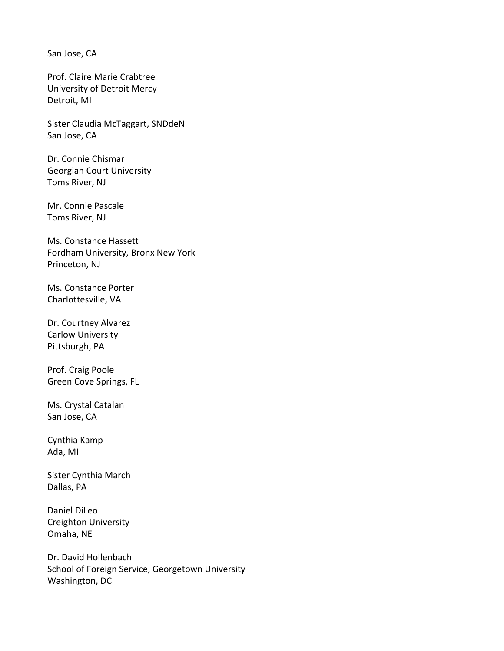San Jose, CA

Prof. Claire Marie Crabtree University of Detroit Mercy Detroit, MI

Sister Claudia McTaggart, SNDdeN San Jose, CA

Dr. Connie Chismar Georgian Court University Toms River, NJ

Mr. Connie Pascale Toms River, NJ

Ms. Constance Hassett Fordham University, Bronx New York Princeton, NJ

Ms. Constance Porter Charlottesville, VA

Dr. Courtney Alvarez Carlow University Pittsburgh, PA

Prof. Craig Poole Green Cove Springs, FL

Ms. Crystal Catalan San Jose, CA

Cynthia Kamp Ada, MI

Sister Cynthia March Dallas, PA

Daniel DiLeo Creighton University Omaha, NE

Dr. David Hollenbach School of Foreign Service, Georgetown University Washington, DC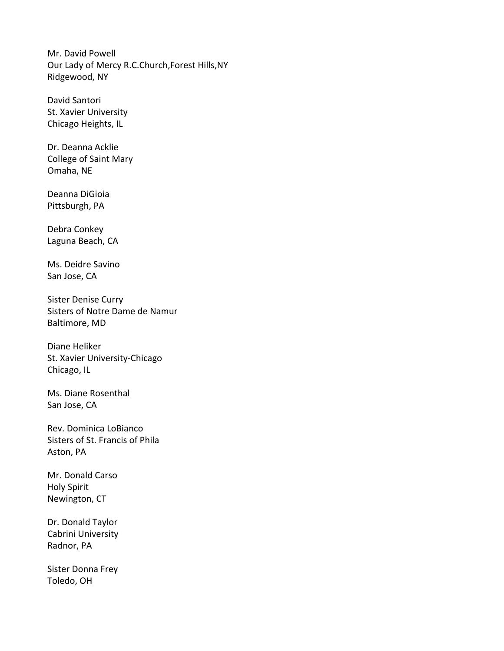Mr. David Powell Our Lady of Mercy R.C.Church,Forest Hills,NY Ridgewood, NY

David Santori St. Xavier University Chicago Heights, IL

Dr. Deanna Acklie College of Saint Mary Omaha, NE

Deanna DiGioia Pittsburgh, PA

Debra Conkey Laguna Beach, CA

Ms. Deidre Savino San Jose, CA

Sister Denise Curry Sisters of Notre Dame de Namur Baltimore, MD

Diane Heliker St. Xavier University-Chicago Chicago, IL

Ms. Diane Rosenthal San Jose, CA

Rev. Dominica LoBianco Sisters of St. Francis of Phila Aston, PA

Mr. Donald Carso Holy Spirit Newington, CT

Dr. Donald Taylor Cabrini University Radnor, PA

Sister Donna Frey Toledo, OH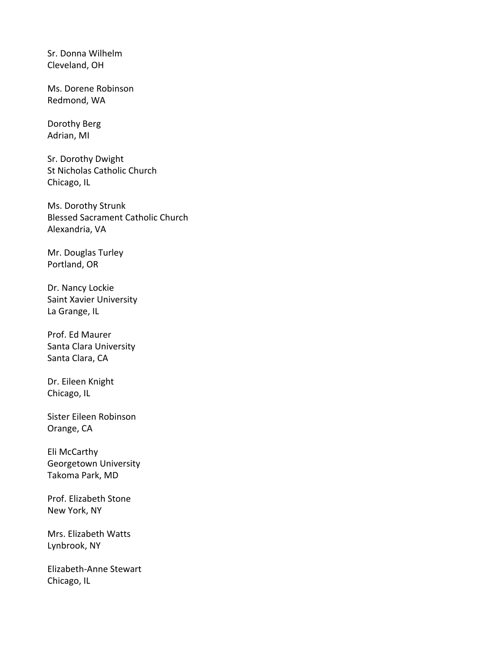Sr. Donna Wilhelm Cleveland, OH

Ms. Dorene Robinson Redmond, WA

Dorothy Berg Adrian, MI

Sr. Dorothy Dwight St Nicholas Catholic Church Chicago, IL

Ms. Dorothy Strunk Blessed Sacrament Catholic Church Alexandria, VA

Mr. Douglas Turley Portland, OR

Dr. Nancy Lockie Saint Xavier University La Grange, IL

Prof. Ed Maurer Santa Clara University Santa Clara, CA

Dr. Eileen Knight Chicago, IL

Sister Eileen Robinson Orange, CA

Eli McCarthy Georgetown University Takoma Park, MD

Prof. Elizabeth Stone New York, NY

Mrs. Elizabeth Watts Lynbrook, NY

Elizabeth-Anne Stewart Chicago, IL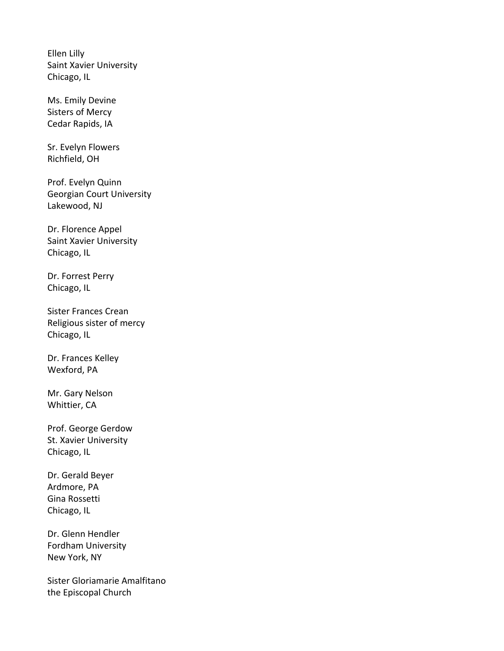Ellen Lilly Saint Xavier University Chicago, IL

Ms. Emily Devine Sisters of Mercy Cedar Rapids, IA

Sr. Evelyn Flowers Richfield, OH

Prof. Evelyn Quinn Georgian Court University Lakewood, NJ

Dr. Florence Appel Saint Xavier University Chicago, IL

Dr. Forrest Perry Chicago, IL

Sister Frances Crean Religious sister of mercy Chicago, IL

Dr. Frances Kelley Wexford, PA

Mr. Gary Nelson Whittier, CA

Prof. George Gerdow St. Xavier University Chicago, IL

Dr. Gerald Beyer Ardmore, PA Gina Rossetti Chicago, IL

Dr. Glenn Hendler Fordham University New York, NY

Sister Gloriamarie Amalfitano the Episcopal Church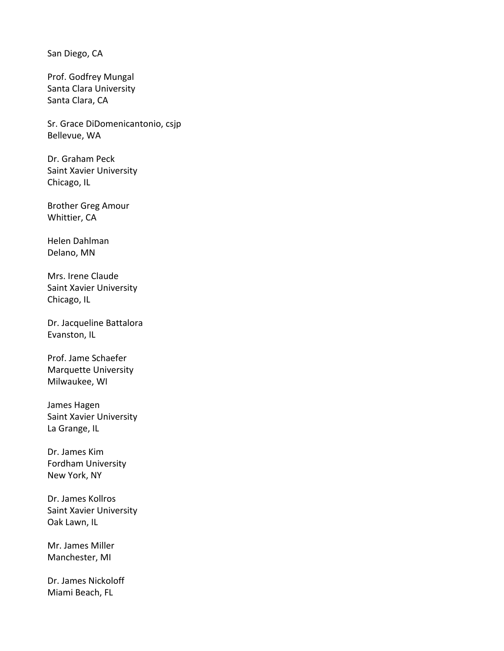San Diego, CA

Prof. Godfrey Mungal Santa Clara University Santa Clara, CA

Sr. Grace DiDomenicantonio, csjp Bellevue, WA

Dr. Graham Peck Saint Xavier University Chicago, IL

Brother Greg Amour Whittier, CA

Helen Dahlman Delano, MN

Mrs. Irene Claude Saint Xavier University Chicago, IL

Dr. Jacqueline Battalora Evanston, IL

Prof. Jame Schaefer Marquette University Milwaukee, WI

James Hagen Saint Xavier University La Grange, IL

Dr. James Kim Fordham University New York, NY

Dr. James Kollros Saint Xavier University Oak Lawn, IL

Mr. James Miller Manchester, MI

Dr. James Nickoloff Miami Beach, FL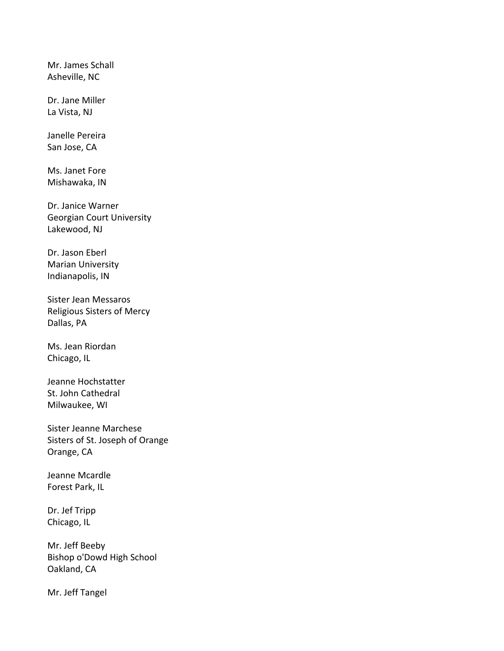Mr. James Schall Asheville, NC

Dr. Jane Miller La Vista, NJ

Janelle Pereira San Jose, CA

Ms. Janet Fore Mishawaka, IN

Dr. Janice Warner Georgian Court University Lakewood, NJ

Dr. Jason Eberl Marian University Indianapolis, IN

Sister Jean Messaros Religious Sisters of Mercy Dallas, PA

Ms. Jean Riordan Chicago, IL

Jeanne Hochstatter St. John Cathedral Milwaukee, WI

Sister Jeanne Marchese Sisters of St. Joseph of Orange Orange, CA

Jeanne Mcardle Forest Park, IL

Dr. Jef Tripp Chicago, IL

Mr. Jeff Beeby Bishop o'Dowd High School Oakland, CA

Mr. Jeff Tangel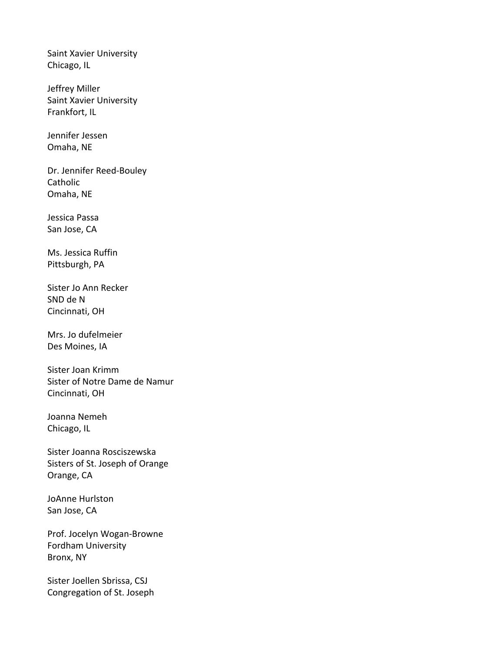Saint Xavier University Chicago, IL

Jeffrey Miller Saint Xavier University Frankfort, IL

Jennifer Jessen Omaha, NE

Dr. Jennifer Reed-Bouley Catholic Omaha, NE

Jessica Passa San Jose, CA

Ms. Jessica Ruffin Pittsburgh, PA

Sister Jo Ann Recker SND de N Cincinnati, OH

Mrs. Jo dufelmeier Des Moines, IA

Sister Joan Krimm Sister of Notre Dame de Namur Cincinnati, OH

Joanna Nemeh Chicago, IL

Sister Joanna Rosciszewska Sisters of St. Joseph of Orange Orange, CA

JoAnne Hurlston San Jose, CA

Prof. Jocelyn Wogan-Browne Fordham University Bronx, NY

Sister Joellen Sbrissa, CSJ Congregation of St. Joseph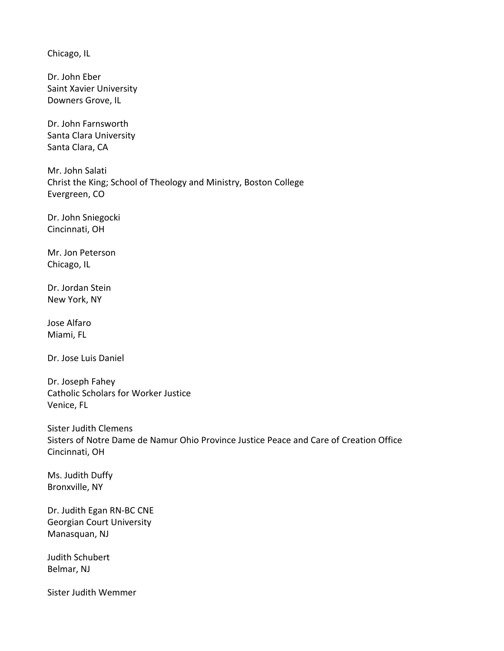Chicago, IL

Dr. John Eber Saint Xavier University Downers Grove, IL

Dr. John Farnsworth Santa Clara University Santa Clara, CA

Mr. John Salati Christ the King; School of Theology and Ministry, Boston College Evergreen, CO

Dr. John Sniegocki Cincinnati, OH

Mr. Jon Peterson Chicago, IL

Dr. Jordan Stein New York, NY

Jose Alfaro Miami, FL

Dr. Jose Luis Daniel

Dr. Joseph Fahey Catholic Scholars for Worker Justice Venice, FL

Sister Judith Clemens Sisters of Notre Dame de Namur Ohio Province Justice Peace and Care of Creation Office Cincinnati, OH

Ms. Judith Duffy Bronxville, NY

Dr. Judith Egan RN-BC CNE Georgian Court University Manasquan, NJ

Judith Schubert Belmar, NJ

Sister Judith Wemmer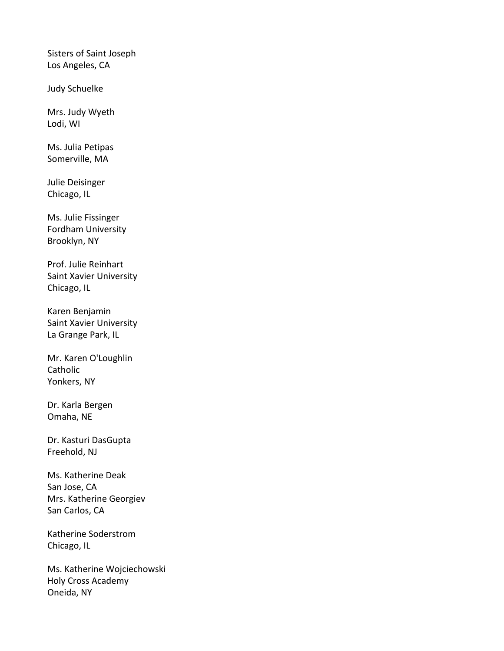Sisters of Saint Joseph Los Angeles, CA

Judy Schuelke

Mrs. Judy Wyeth Lodi, WI

Ms. Julia Petipas Somerville, MA

Julie Deisinger Chicago, IL

Ms. Julie Fissinger Fordham University Brooklyn, NY

Prof. Julie Reinhart Saint Xavier University Chicago, IL

Karen Benjamin Saint Xavier University La Grange Park, IL

Mr. Karen O'Loughlin Catholic Yonkers, NY

Dr. Karla Bergen Omaha, NE

Dr. Kasturi DasGupta Freehold, NJ

Ms. Katherine Deak San Jose, CA Mrs. Katherine Georgiev San Carlos, CA

Katherine Soderstrom Chicago, IL

Ms. Katherine Wojciechowski Holy Cross Academy Oneida, NY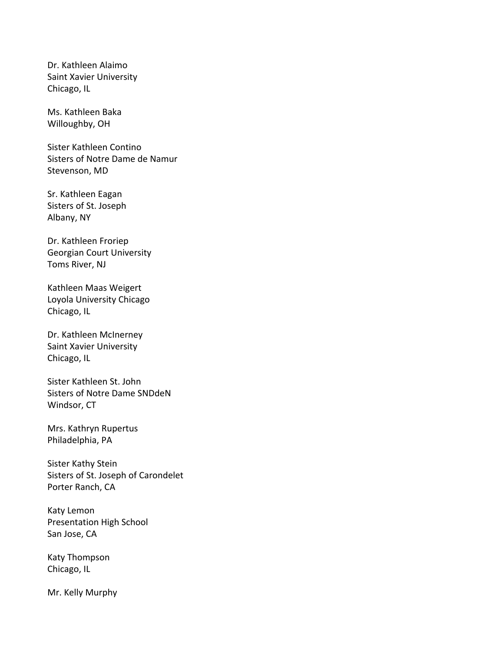Dr. Kathleen Alaimo Saint Xavier University Chicago, IL

Ms. Kathleen Baka Willoughby, OH

Sister Kathleen Contino Sisters of Notre Dame de Namur Stevenson, MD

Sr. Kathleen Eagan Sisters of St. Joseph Albany, NY

Dr. Kathleen Froriep Georgian Court University Toms River, NJ

Kathleen Maas Weigert Loyola University Chicago Chicago, IL

Dr. Kathleen McInerney Saint Xavier University Chicago, IL

Sister Kathleen St. John Sisters of Notre Dame SNDdeN Windsor, CT

Mrs. Kathryn Rupertus Philadelphia, PA

Sister Kathy Stein Sisters of St. Joseph of Carondelet Porter Ranch, CA

Katy Lemon Presentation High School San Jose, CA

Katy Thompson Chicago, IL

Mr. Kelly Murphy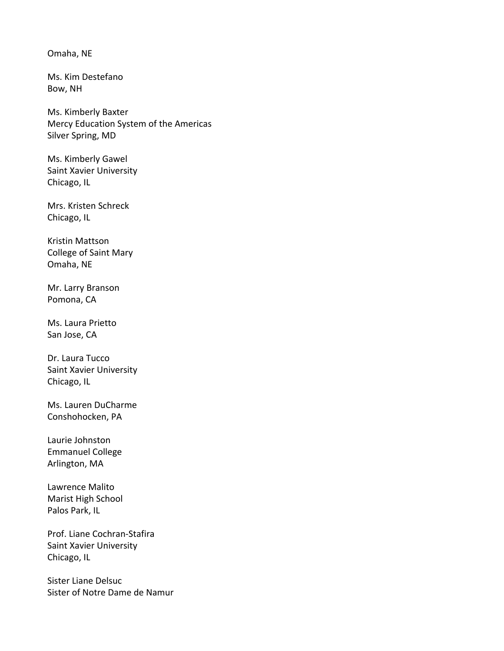Omaha, NE

Ms. Kim Destefano Bow, NH

Ms. Kimberly Baxter Mercy Education System of the Americas Silver Spring, MD

Ms. Kimberly Gawel Saint Xavier University Chicago, IL

Mrs. Kristen Schreck Chicago, IL

Kristin Mattson College of Saint Mary Omaha, NE

Mr. Larry Branson Pomona, CA

Ms. Laura Prietto San Jose, CA

Dr. Laura Tucco Saint Xavier University Chicago, IL

Ms. Lauren DuCharme Conshohocken, PA

Laurie Johnston Emmanuel College Arlington, MA

Lawrence Malito Marist High School Palos Park, IL

Prof. Liane Cochran-Stafira Saint Xavier University Chicago, IL

Sister Liane Delsuc Sister of Notre Dame de Namur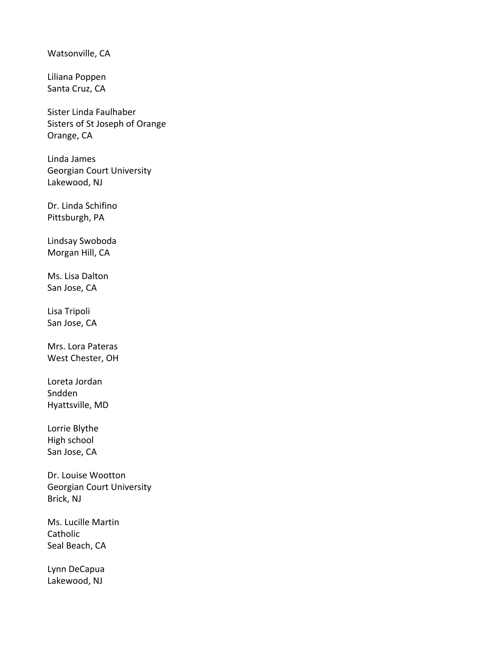Watsonville, CA

Liliana Poppen Santa Cruz, CA

Sister Linda Faulhaber Sisters of St Joseph of Orange Orange, CA

Linda James Georgian Court University Lakewood, NJ

Dr. Linda Schifino Pittsburgh, PA

Lindsay Swoboda Morgan Hill, CA

Ms. Lisa Dalton San Jose, CA

Lisa Tripoli San Jose, CA

Mrs. Lora Pateras West Chester, OH

Loreta Jordan Sndden Hyattsville, MD

Lorrie Blythe High school San Jose, CA

Dr. Louise Wootton Georgian Court University Brick, NJ

Ms. Lucille Martin Catholic Seal Beach, CA

Lynn DeCapua Lakewood, NJ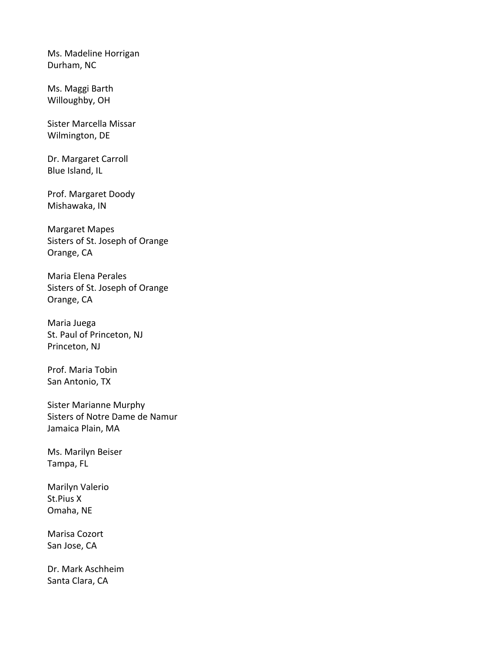Ms. Madeline Horrigan Durham, NC

Ms. Maggi Barth Willoughby, OH

Sister Marcella Missar Wilmington, DE

Dr. Margaret Carroll Blue Island, IL

Prof. Margaret Doody Mishawaka, IN

Margaret Mapes Sisters of St. Joseph of Orange Orange, CA

Maria Elena Perales Sisters of St. Joseph of Orange Orange, CA

Maria Juega St. Paul of Princeton, NJ Princeton, NJ

Prof. Maria Tobin San Antonio, TX

Sister Marianne Murphy Sisters of Notre Dame de Namur Jamaica Plain, MA

Ms. Marilyn Beiser Tampa, FL

Marilyn Valerio St.Pius X Omaha, NE

Marisa Cozort San Jose, CA

Dr. Mark Aschheim Santa Clara, CA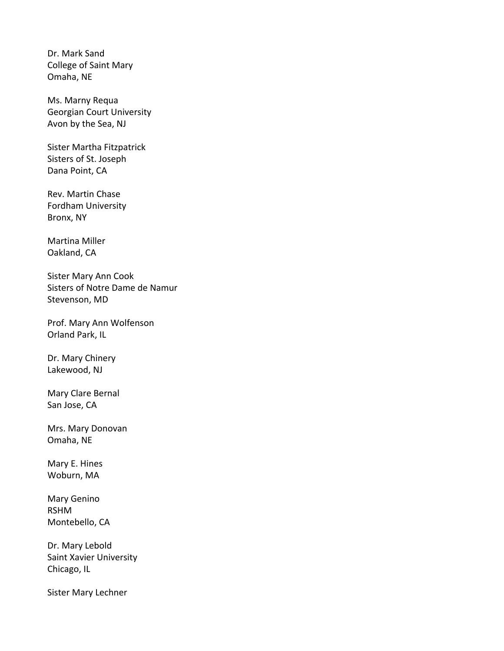Dr. Mark Sand College of Saint Mary Omaha, NE

Ms. Marny Requa Georgian Court University Avon by the Sea, NJ

Sister Martha Fitzpatrick Sisters of St. Joseph Dana Point, CA

Rev. Martin Chase Fordham University Bronx, NY

Martina Miller Oakland, CA

Sister Mary Ann Cook Sisters of Notre Dame de Namur Stevenson, MD

Prof. Mary Ann Wolfenson Orland Park, IL

Dr. Mary Chinery Lakewood, NJ

Mary Clare Bernal San Jose, CA

Mrs. Mary Donovan Omaha, NE

Mary E. Hines Woburn, MA

Mary Genino RSHM Montebello, CA

Dr. Mary Lebold Saint Xavier University Chicago, IL

Sister Mary Lechner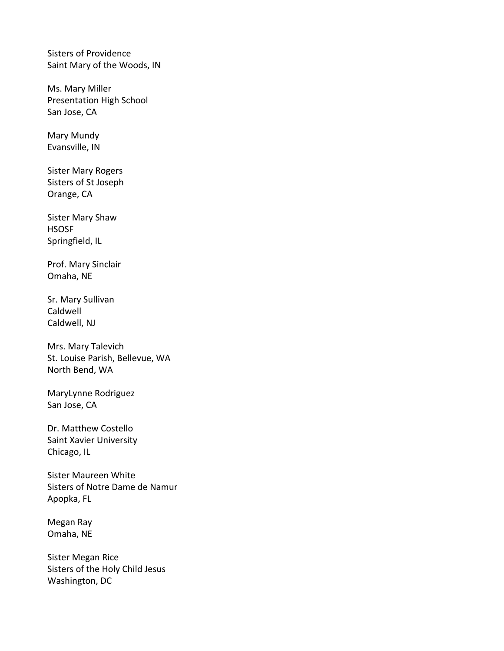Sisters of Providence Saint Mary of the Woods, IN

Ms. Mary Miller Presentation High School San Jose, CA

Mary Mundy Evansville, IN

Sister Mary Rogers Sisters of St Joseph Orange, CA

Sister Mary Shaw HSOSF Springfield, IL

Prof. Mary Sinclair Omaha, NE

Sr. Mary Sullivan Caldwell Caldwell, NJ

Mrs. Mary Talevich St. Louise Parish, Bellevue, WA North Bend, WA

MaryLynne Rodriguez San Jose, CA

Dr. Matthew Costello Saint Xavier University Chicago, IL

Sister Maureen White Sisters of Notre Dame de Namur Apopka, FL

Megan Ray Omaha, NE

Sister Megan Rice Sisters of the Holy Child Jesus Washington, DC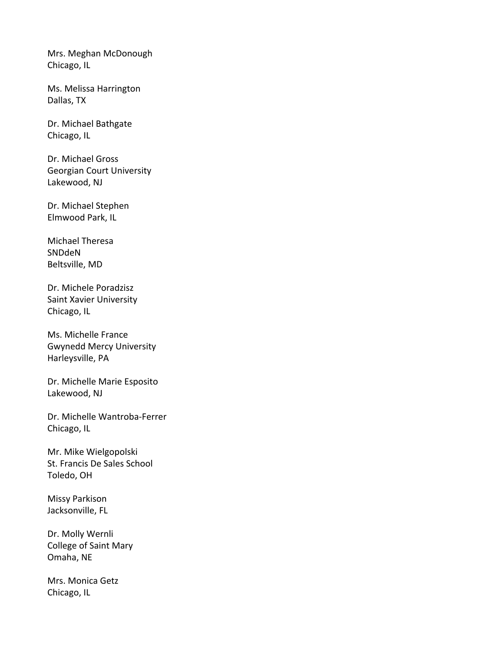Mrs. Meghan McDonough Chicago, IL

Ms. Melissa Harrington Dallas, TX

Dr. Michael Bathgate Chicago, IL

Dr. Michael Gross Georgian Court University Lakewood, NJ

Dr. Michael Stephen Elmwood Park, IL

Michael Theresa SNDdeN Beltsville, MD

Dr. Michele Poradzisz Saint Xavier University Chicago, IL

Ms. Michelle France Gwynedd Mercy University Harleysville, PA

Dr. Michelle Marie Esposito Lakewood, NJ

Dr. Michelle Wantroba-Ferrer Chicago, IL

Mr. Mike Wielgopolski St. Francis De Sales School Toledo, OH

Missy Parkison Jacksonville, FL

Dr. Molly Wernli College of Saint Mary Omaha, NE

Mrs. Monica Getz Chicago, IL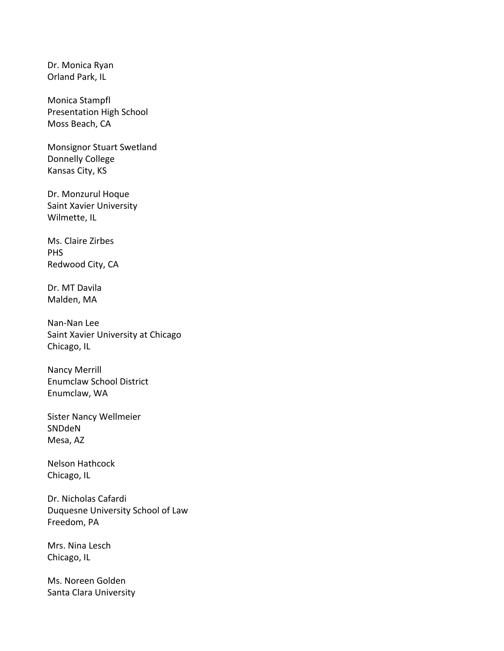Dr. Monica Ryan Orland Park, IL

Monica Stampfl Presentation High School Moss Beach, CA

Monsignor Stuart Swetland Donnelly College Kansas City, KS

Dr. Monzurul Hoque Saint Xavier University Wilmette, IL

Ms. Claire Zirbes PHS Redwood City, CA

Dr. MT Davila Malden, MA

Nan-Nan Lee Saint Xavier University at Chicago Chicago, IL

Nancy Merrill Enumclaw School District Enumclaw, WA

Sister Nancy Wellmeier SNDdeN Mesa, AZ

Nelson Hathcock Chicago, IL

Dr. Nicholas Cafardi Duquesne University School of Law Freedom, PA

Mrs. Nina Lesch Chicago, IL

Ms. Noreen Golden Santa Clara University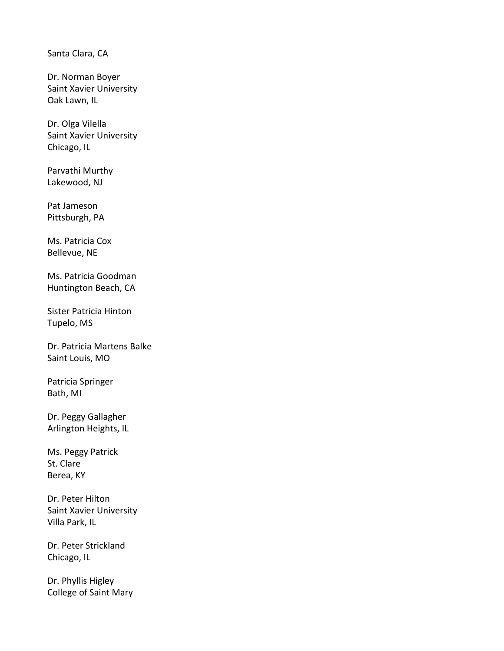Santa Clara, CA

Dr. Norman Boyer Saint Xavier University Oak Lawn, IL

Dr. Olga Vilella Saint Xavier University Chicago, IL

Parvathi Murthy Lakewood, NJ

Pat Jameson Pittsburgh, PA

Ms. Patricia Cox Bellevue, NE

Ms. Patricia Goodman Huntington Beach, CA

Sister Patricia Hinton Tupelo, MS

Dr. Patricia Martens Balke Saint Louis, MO

Patricia Springer Bath, MI

Dr. Peggy Gallagher Arlington Heights, IL

Ms. Peggy Patrick St. Clare Berea, KY

Dr. Peter Hilton Saint Xavier University Villa Park, IL

Dr. Peter Strickland Chicago, IL

Dr. Phyllis Higley College of Saint Mary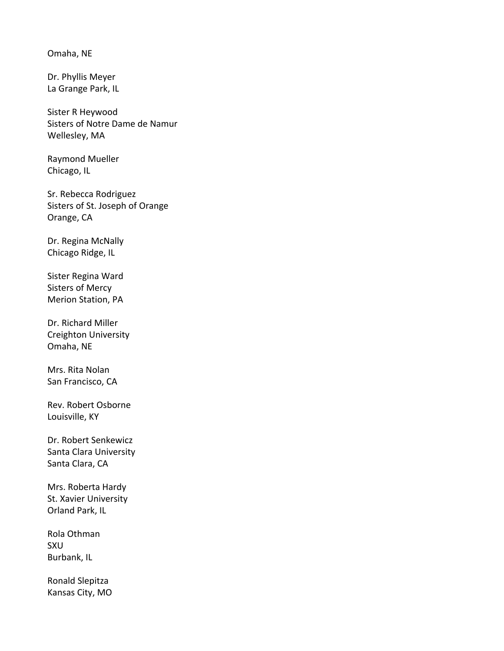Omaha, NE

Dr. Phyllis Meyer La Grange Park, IL

Sister R Heywood Sisters of Notre Dame de Namur Wellesley, MA

Raymond Mueller Chicago, IL

Sr. Rebecca Rodriguez Sisters of St. Joseph of Orange Orange, CA

Dr. Regina McNally Chicago Ridge, IL

Sister Regina Ward Sisters of Mercy Merion Station, PA

Dr. Richard Miller Creighton University Omaha, NE

Mrs. Rita Nolan San Francisco, CA

Rev. Robert Osborne Louisville, KY

Dr. Robert Senkewicz Santa Clara University Santa Clara, CA

Mrs. Roberta Hardy St. Xavier University Orland Park, IL

Rola Othman SXU Burbank, IL

Ronald Slepitza Kansas City, MO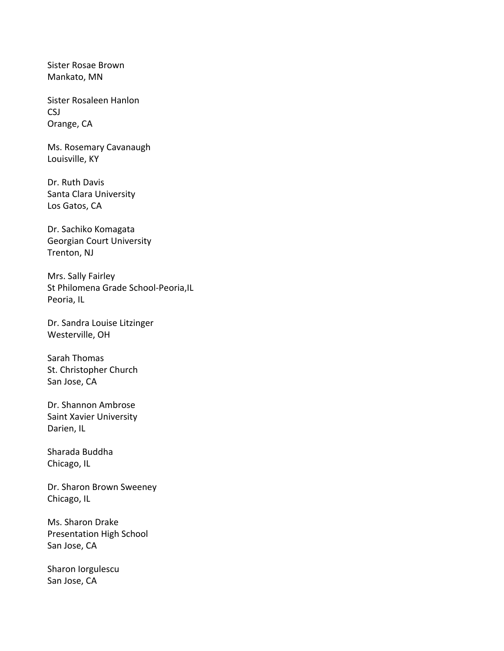Sister Rosae Brown Mankato, MN

Sister Rosaleen Hanlon CSJ Orange, CA

Ms. Rosemary Cavanaugh Louisville, KY

Dr. Ruth Davis Santa Clara University Los Gatos, CA

Dr. Sachiko Komagata Georgian Court University Trenton, NJ

Mrs. Sally Fairley St Philomena Grade School-Peoria,IL Peoria, IL

Dr. Sandra Louise Litzinger Westerville, OH

Sarah Thomas St. Christopher Church San Jose, CA

Dr. Shannon Ambrose Saint Xavier University Darien, IL

Sharada Buddha Chicago, IL

Dr. Sharon Brown Sweeney Chicago, IL

Ms. Sharon Drake Presentation High School San Jose, CA

Sharon Iorgulescu San Jose, CA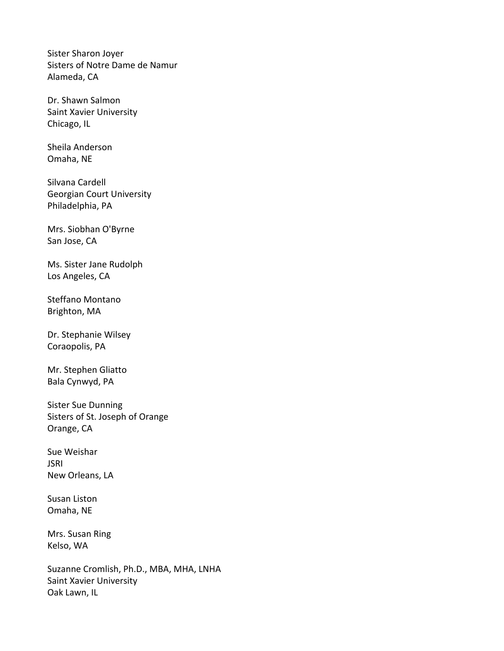Sister Sharon Joyer Sisters of Notre Dame de Namur Alameda, CA

Dr. Shawn Salmon Saint Xavier University Chicago, IL

Sheila Anderson Omaha, NE

Silvana Cardell Georgian Court University Philadelphia, PA

Mrs. Siobhan O'Byrne San Jose, CA

Ms. Sister Jane Rudolph Los Angeles, CA

Steffano Montano Brighton, MA

Dr. Stephanie Wilsey Coraopolis, PA

Mr. Stephen Gliatto Bala Cynwyd, PA

Sister Sue Dunning Sisters of St. Joseph of Orange Orange, CA

Sue Weishar JSRI New Orleans, LA

Susan Liston Omaha, NE

Mrs. Susan Ring Kelso, WA

Suzanne Cromlish, Ph.D., MBA, MHA, LNHA Saint Xavier University Oak Lawn, IL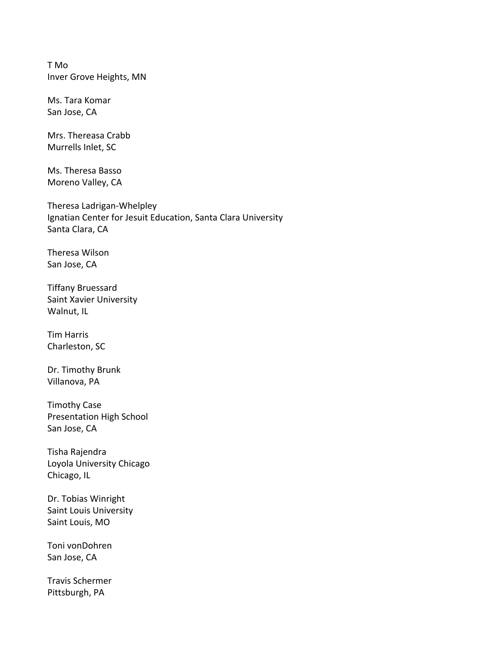T Mo Inver Grove Heights, MN

Ms. Tara Komar San Jose, CA

Mrs. Thereasa Crabb Murrells Inlet, SC

Ms. Theresa Basso Moreno Valley, CA

Theresa Ladrigan-Whelpley Ignatian Center for Jesuit Education, Santa Clara University Santa Clara, CA

Theresa Wilson San Jose, CA

Tiffany Bruessard Saint Xavier University Walnut, IL

Tim Harris Charleston, SC

Dr. Timothy Brunk Villanova, PA

Timothy Case Presentation High School San Jose, CA

Tisha Rajendra Loyola University Chicago Chicago, IL

Dr. Tobias Winright Saint Louis University Saint Louis, MO

Toni vonDohren San Jose, CA

Travis Schermer Pittsburgh, PA